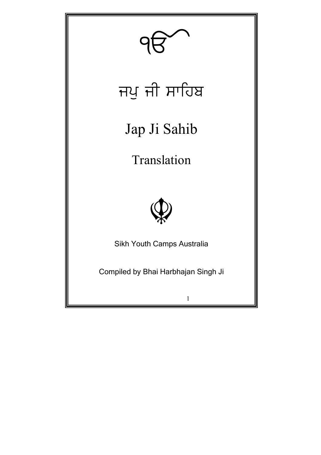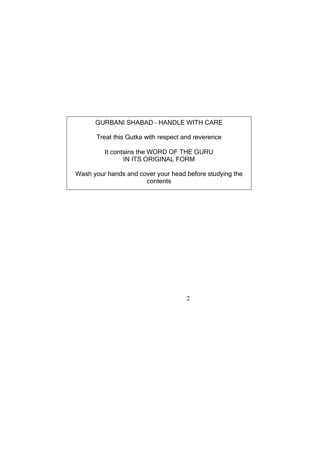### GURBANI SHABAD – HANDLE WITH CARE

Treat this Gutka with respect and reverence

It contains the WORD OF THE GURU IN ITS ORIGINAL FORM

Wash your hands and cover your head before studying the contents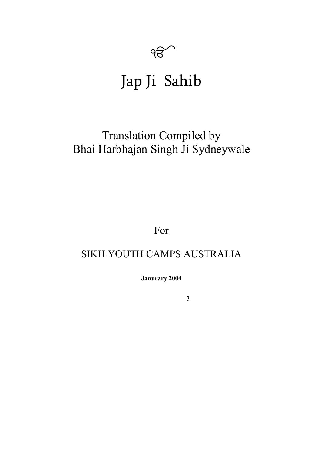

# Jap Ji Sahib

## Translation Compiled by Bhai Harbhajan Singh Ji Sydneywale

For

## SIKH YOUTH CAMPS AUSTRALIA

**Janurary 2004**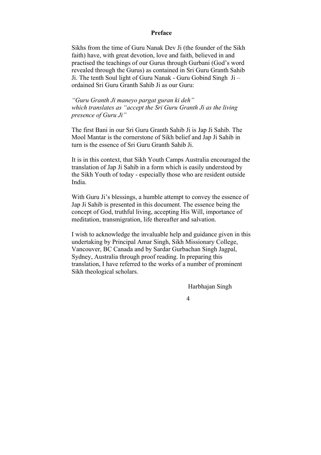#### **Preface**

Sikhs from the time of Guru Nanak Dev Ji (the founder of the Sikh faith) have, with great devotion, love and faith, believed in and practised the teachings of our Gurus through Gurbani (God's word revealed through the Gurus) as contained in Sri Guru Granth Sahib Ji. The tenth Soul light of Guru Nanak - Guru Gobind Singh Ji – ordained Sri Guru Granth Sahib Ji as our Guru:

*"Guru Granth Ji maneyo pargat guran ki deh" which translates as "accept the Sri Guru Granth Ji as the living presence of Guru Ji"* 

The first Bani in our Sri Guru Granth Sahib Ji is Jap Ji Sahib. The Mool Mantar is the cornerstone of Sikh belief and Jap Ji Sahib in turn is the essence of Sri Guru Granth Sahib Ji.

It is in this context, that Sikh Youth Camps Australia encouraged the translation of Jap Ji Sahib in a form which is easily understood by the Sikh Youth of today - especially those who are resident outside India.

With Guru Ji's blessings, a humble attempt to convey the essence of Jap Ji Sahib is presented in this document. The essence being the concept of God, truthful living, accepting His Will, importance of meditation, transmigration, life thereafter and salvation.

I wish to acknowledge the invaluable help and guidance given in this undertaking by Principal Amar Singh, Sikh Missionary College, Vancouver, BC Canada and by Sardar Gurbachan Singh Jagpal, Sydney, Australia through proof reading. In preparing this translation, I have referred to the works of a number of prominent Sikh theological scholars.

Harbhajan Singh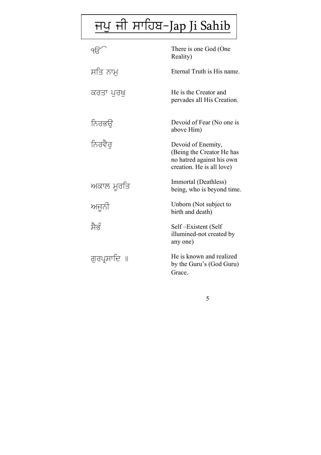# <u>ਜਪੁ ਜੀ ਸਾਹਿਬ-Jap Ji Sahib</u>

|             | There is one God (One<br>Reality)                                                                         |
|-------------|-----------------------------------------------------------------------------------------------------------|
| ਸਤਿ ਨਾਮੁ    | Eternal Truth is His name.                                                                                |
| ਕਰਤਾ ਪਰਖ    | He is the Creator and<br>pervades all His Creation.                                                       |
| ਨਿਰਭਉ       | Devoid of Fear (No one is<br>above Him)                                                                   |
| ਨਿਰਵੈਰ      | Devoid of Enemity,<br>(Being the Creator He has<br>no hatred against his own<br>creation. He is all love) |
| ਅਕਾਲ ਮੁਰਤਿ  | Immortal (Deathless)<br>being, who is beyond time.                                                        |
| ਅਜੁਨੀ       | Unborn (Not subject to<br>birth and death)                                                                |
| ਸੈਭੰ        | Self-Existent (Self<br>illumined-not created by<br>any one)                                               |
| ਗਰਪ੍ਰਸਾਦਿ ॥ | He is known and realized<br>by the Guru's (God Guru)<br>Grace.                                            |

 $\overline{5}$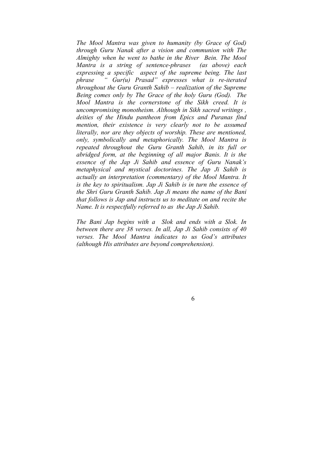*The Mool Mantra was given to humanity (by Grace of God) through Guru Nanak after a vision and communion with The Almighty when he went to bathe in the River Bein. The Mool Mantra is a string of sentence-phrases (as above) each expressing a specific aspect of the supreme being. The last phrase " Gur(u) Prasad" expresses what is re-iterated throughout the Guru Granth Sahib – realization of the Supreme Being comes only by The Grace of the holy Guru (God). The Mool Mantra is the cornerstone of the Sikh creed. It is uncompromising monotheism. Although in Sikh sacred writings , deities of the Hindu pantheon from Epics and Puranas find mention, their existence is very clearly not to be assumed literally, nor are they objects of worship. These are mentioned, only, symbolically and metaphorically. The Mool Mantra is repeated throughout the Guru Granth Sahib, in its full or abridged form, at the beginning of all major Banis. It is the essence of the Jap Ji Sahib and essence of Guru Nanak's metaphysical and mystical doctorines. The Jap Ji Sahib is actually an interpretation (commentary) of the Mool Mantra. It is the key to spiritualism. Jap Ji Sahib is in turn the essence of the Shri Guru Granth Sahib. Jap Ji means the name of the Bani that follows is Jap and instructs us to meditate on and recite the Name. It is respectfully referred to as the Jap Ji Sahib.* 

*The Bani Jap begins with a Slok and ends with a Slok. In between there are 38 verses. In all, Jap Ji Sahib consists of 40 verses. The Mool Mantra indicates to us God's attributes (although His attributes are beyond comprehension).*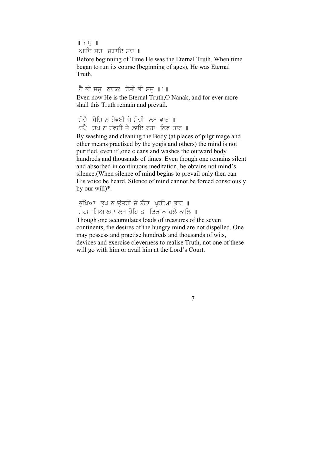```
\parallel ਜ\vee \parallelਆਦਿ ਸਚ ਜਗਾਦਿ ਸਚ ॥
```
Before beginning of Time He was the Eternal Truth. When time began to run its course (beginning of ages), He was Eternal Truth.

```
ਹੈ ਭੀ ਸਚ ਨਾਨਕ ਹੋਸੀ ਭੀ ਸਚ ॥1॥
Even now He is the Eternal Truth,O Nanak, and for ever more 
shall this Truth remain and prevail.
```

```
ਸੋਚੈ ਸੋਚਿ ਨ ਹੋਵਈ ਜੇ ਸੋਚੀ ਲਖ ਵਾਰ ॥
ਚਪੈ ਚਪ ਨ ਹੋਵਈ ਜੇ ਲਾਇ ਰਹਾ ਲਿਵ ਤਾਰ ॥
```
By washing and cleaning the Body (at places of pilgrimage and other means practised by the yogis and others) the mind is not purified, even if ,one cleans and washes the outward body hundreds and thousands of times. Even though one remains silent and absorbed in continuous meditation, he obtains not mind's silence.(When silence of mind begins to prevail only then can His voice be heard. Silence of mind cannot be forced consciously by our will)\*.

```
ਭਖਿਆ ਭਖ ਨ ਉਤਰੀ ਜੇ ਬੰਨਾ ਪਰੀਆ ਭਾਰ ॥
ਸਹਸ ਸਿਆਣਪਾ ਲਖ ਹੋਹਿ ਤਾਂ ਇਕ ਨ ਚਲੈ ਨਾਲਿ ॥
```
7

Though one accumulates loads of treasures of the seven continents, the desires of the hungry mind are not dispelled. One may possess and practise hundreds and thousands of wits, devices and exercise cleverness to realise Truth, not one of these will go with him or avail him at the Lord's Court.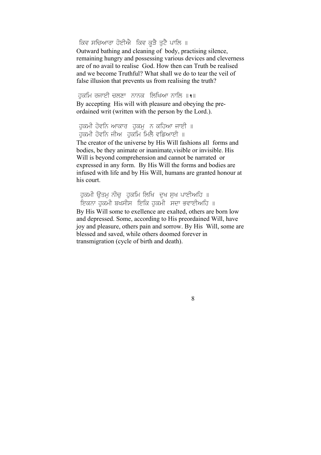ਕਿਵ ਸਚਿਆਰਾ ਹੋਈਐ ਕਿਵ ਕੁੜੈ ਤੁਟੈ ਪਾਲਿ ॥

Outward bathing and cleaning of body, practising silence, remaining hungry and possessing various devices and cleverness are of no avail to realise God. How then can Truth be realised and we become Truthful? What shall we do to tear the veil of false illusion that prevents us from realising the truth?

ਹਕਮਿ ਰਜਾਈ ਚਲਣਾ ਨਾਨਕ ਲਿਖਿਆ ਨਾਲਿ ॥ $\cdot$ ॥ By accepting His will with pleasure and obeying the preordained writ (written with the person by the Lord.).

ਹਕਮੀ ਹੋਵਨਿ ਆਕਾਰ ਹਕਮ ਨ ਕਹਿਆ ਜਾਈ ॥ ੱਕਮੀ ਹੋਵਨਿ ਜੀਅ <sup>ਹੱ</sup>ਕਮਿ ਮਿਲੈ ਵਡਿਆਈ ॥

The creator of the universe by His Will fashions all forms and bodies, be they animate or inanimate,visible or invisible. His Will is beyond comprehension and cannot be narrated or expressed in any form. By His Will the forms and bodies are infused with life and by His Will, humans are granted honour at his court.

ਹਕਮੀ ਉਤਮ ਨੀਚ ਹਕਮਿ ਲਿਖਿ ਦਖ ਸਖ ਪਾਈਅਹਿ ॥ ਇਕਨਾ ਹਕਮੀ ਬਖਸੀਸ ਇਕਿ ਹਕਮੀ ਸਦਾ ਭਵਾਈਅਹਿ ॥ By His Will some to exellence are exalted, others are born low

8

and depressed. Some, according to His preordained Will, have joy and pleasure, others pain and sorrow. By His Will, some are blessed and saved, while others doomed forever in transmigration (cycle of birth and death).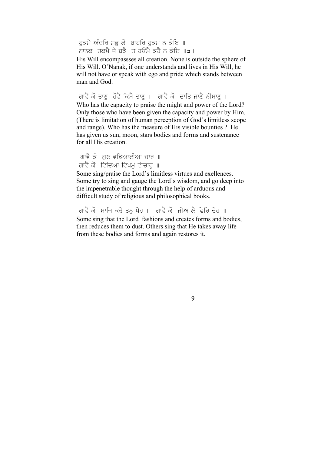ਹਕਮੈ ਅੰਦਰਿ ਸਭ ਕੋ ਬਾਹਰਿ ਹਕਮ ਨ ਕੋਇ ॥ ਨਾਨਕ, ਹਕਮੈ ਜੇ ਬਝੈ, ਤ ਹੳਮੈ ਕਹੈ ਨ ਕੋਇ ॥ **੨**॥

His Will encompassses all creation. None is outside the sphere of His Will. O'Nanak, if one understands and lives in His Will, he will not have or speak with ego and pride which stands between man and God.

ਗਾਵੈ ਕੋ ਤਾਣੂ ਹੋਵੈ ਕਿਸੈ ਤਾਣੂ ॥ ਗਾਵੈ ਕੋ ਦਾਤਿ ਜਾਣੈ ਨੀਸਾਣੂ ॥ Who has the capacity to praise the might and power of the Lord? Only those who have been given the capacity and power by Him. (There is limitation of human perception of God's limitless scope and range). Who has the measure of His visible bounties ? He has given us sun, moon, stars bodies and forms and sustenance for all His creation.

ਗਾਵੈ ਕੋ ਗਣ ਵਡਿਆਈਆ ਚਾਰ ॥ ਗਾਵੈ ਕੋ ਵਿਦਿਆ ਵਿਖਮ ਵੀਚਾਰ ॥

Some sing/praise the Lord's limitless virtues and exellences. Some try to sing and gauge the Lord's wisdom, and go deep into the impenetrable thought through the help of arduous and difficult study of religious and philosophical books.

ਗਾਵੈ ਕੋ ਸਾਜਿ ਕਰੇ ਤਨ ਖੇਹ ॥ ਗਾਵੈ ਕੋ ਜੀਅ ਲੈ ਫਿਰਿ ਦੇਹ ॥ Some sing that the Lord fashions and creates forms and bodies, then reduces them to dust. Others sing that He takes away life from these bodies and forms and again restores it.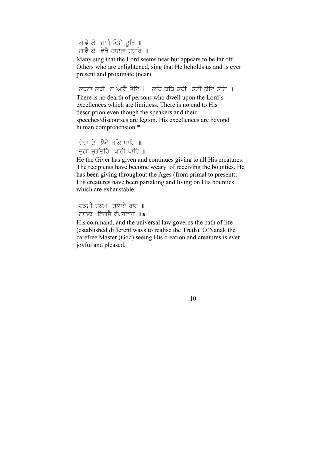ਗਾਵੈ ਕੋ ਜਾਪੈ ਦਿਸੈ ਦੂਰਿ ॥ ਕਾਵੇ ਕੋ ਵੇਖੈ ਹਾਦਰਾ ਹਦੂਰਿ ॥

Many sing that the Lord seems near but appears to be far off. Others who are enlightened, sing that He beholds us and is ever present and proximate (near).

ਕਥਨਾ ਕਥੀ ਨੂੰ ਆਵੈ ਤੋਟਿ ॥ ਕਥਿ ਕਥਿ ਕਥੀ ਕੋਟੀ ਕੋਟਿ ਕੋਟਿ ॥ There is no dearth of persons who dwell upon the Lord's excellences which are limitless. There is no end to His description even though the speakers and their speeches/discourses are legion. His excellences are beyond human comprehension.\*

```
ਦੇਦਾ ਦੇ ਲੈਦੇ ਥਕਿ ਪਾਹਿ ॥
ਜਗਾ ਜਗੰਤਰਿ - ਖਾਹੀ ਖਾਹਿ ॥
```
He the Giver has given and continues giving to all His creatures. The recipients have become weary of receiving the bounties. He has been giving throughout the Ages (from primal to present). His creatures have been partaking and living on His bounties which are exhaustable.

```
ਹੁਕਮੀ ਹੁਕਮੁ ਚਲਾਏ ਰਾਹੁ ॥
ਨਾਨਕ ਵਿਗਸੈ ਵੇਪਰਵਾਹ \|a\|
```
His command, and the universal law governs the path of life (established different ways to realise the Truth). O'Nanak the carefree Master (God) seeing His creation and creatures is ever joyful and pleased.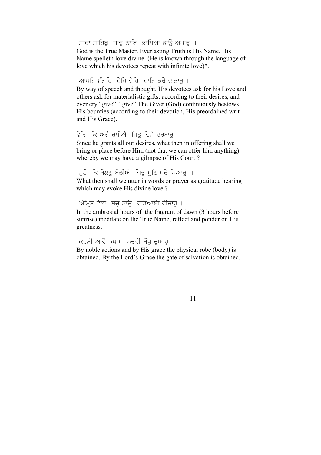ਸਾਚਾ ਸਾਹਿਬ ਸਾਚ ਨਾਇ ਭਾਖਿਆ ਭਾੳ ਅਪਾਰ ॥

God is the True Master. Everlasting Truth is His Name. His Name spelleth love divine. (He is known through the language of love which his devotees repeat with infinite love)\*.

#### ਆਖਹਿ ਮੰਗਹਿ ਦੇਹਿ ਦੇਹਿ ਦਾਤਿ ਕਰੇ ਦਾਤਾਰ ॥

By way of speech and thought, His devotees ask for his Love and others ask for materialistic gifts, according to their desires, and ever cry "give", "give".The Giver (God) continuously bestows His bounties (according to their devotion, His preordained writ and His Grace).

#### ਫੇਰਿ ਕਿ ਅਗੈ ਰਖੀਐ ਜਿਤ ਦਿਸੈ ਦਰਬਾਰ ॥

Since he grants all our desires, what then in offering shall we bring or place before Him (not that we can offer him anything) whereby we may have a gilmpse of His Court ?

#### ਮੁਹੌਂ ਕਿ ਬੋਲਣੂ ਬੋਲੀਐ ਜਿਤੂ ਸੁਣਿ ਧਰੇ ਪਿਆਰੂ ॥

What then shall we utter in words or prayer as gratitude hearing which may evoke His divine love ?

#### ਅੰਮ੍ਰਿਤ ਵੇਲਾ ਸਚ ਨਾਉ ਵਡਿਆਈ ਵੀਚਾਰ ॥

In the ambrosial hours of the fragrant of dawn (3 hours before sunrise) meditate on the True Name, reflect and ponder on His greatness.

#### ਕਰਮੀ ਆਵੈ ਕਪੜਾ ਨਦਰੀ ਮੋਖ ਦੁਆਰ ॥ By noble actions and by His grace the physical robe (body) is obtained. By the Lord's Grace the gate of salvation is obtained.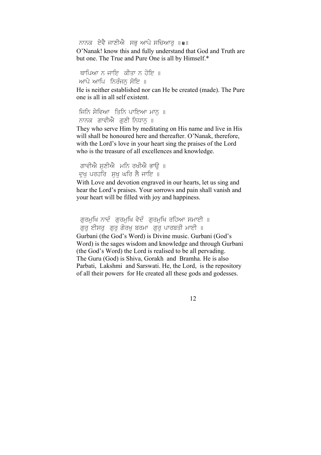ਨਾਨਕ ਏਵੈ ਜਾਣੀਐ ਸਭ ਆਪੇ ਸਚਿਆਰ ॥**੪**॥ O'Nanak! know this and fully understand that God and Truth are but one. The True and Pure One is all by Himself.\*

ਥਾਪਿਆ ਨ ਜਾਇ\_ਕੀਤਾ ਨ ਹੋਇ\_॥ ਆਪੇ ਆਪਿ ਨਿਰੰਜਨ ਸੋਇ ॥

He is neither established nor can He be created (made). The Pure one is all in all self existent.

ਜ਼ਿਨਿ ਸੇਵਿਆਂ ਤਿਨਿ ਪਾਇਆ ਮਾਨੂੰ ॥ ਨਾਨਕ ਗਾਵੀਐ ਗਣੀ ਨਿਧਾਨ ॥

They who serve Him by meditating on His name and live in His will shall be honoured here and thereafter. O'Nanak, therefore, with the Lord's love in your heart sing the praises of the Lord who is the treasure of all excellences and knowledge.

ਗਾਵੀਐ ਸਣੀਐ ਮਨਿ ਰਖੀਐ ਭਾਓ ॥ ਦਖ ਪਰਹਰਿ ਸਖ ਘਰਿ ਲੈ ਜਾਇ ॥

With Love and devotion engraved in our hearts, let us sing and hear the Lord's praises. Your sorrows and pain shall vanish and your heart will be filled with joy and happiness.

ਗਰਮਖਿ ਨਾਦੌਂ ਗਰਮਖਿ ਵੇਦੌਂ ਗਰਮਖਿ ਰਹਿਆ ਸਮਾਈ ॥ ਗਰ ਈਸਰ ਗਰ ਗੋਰਖ ਬਰਮਾ ਗਰ ਪਾਰਬਤੀ ਮਾਈ ॥ Gurbani (the God's Word) is Divine music. Gurbani (God's Word) is the sages wisdom and knowledge and through Gurbani (the God's Word) the Lord is realised to be all pervading. The Guru (God) is Shiva, Gorakh and Bramha. He is also Parbati, Lakshmi and Sarswati. He, the Lord, is the repository of all their powers for He created all these gods and godesses.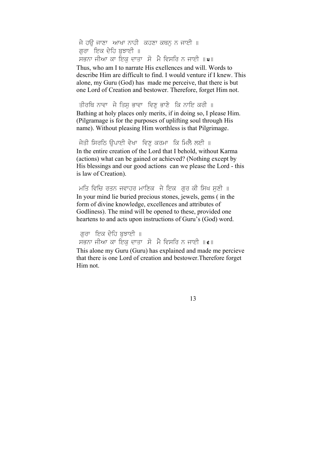ਜੇ ਹੳ ਜਾਣਾ ਆਖਾ ਨਾਹੀ ਕਹਣਾ ਕਥਨ ਨ ਜਾਈ ॥ ਗਰਾ ਇਕ ਦੇਹਿ ਬਝਾਈ ॥ ਸਭਨਾ ਜੀਆ ਕਾ ਇਕ ਦਾਤਾ ਸੋ ਮੈ ਵਿਸਰਿ ਨ ਜਾਈ  $\| \mathbf{u} \|$ Thus, who am I to narrate His exellences and will. Words to describe Him are difficult to find. I would venture if I knew. This alone, my Guru (God) has made me perceive, that there is but one Lord of Creation and bestower. Therefore, forget Him not.

ਤੀਰਥਿ ਨਾਵਾ ਜੇ ਤਿਸ ਭਾਵਾ ਵਿਣ ਭਾਣੇ ਕਿ ਨਾਇ ਕਰੀ ॥ Bathing at holy places only merits, if in doing so, I please Him. (Pilgramage is for the purposes of uplifting soul through His name). Without pleasing Him worthless is that Pilgrimage.

ਜੇਤੀ ਸਿਰਠਿ ਉਪਾਈ ਵੇਖਾ ਵਿਣ ਕਰਮਾ ਕਿ ਮਿਲੈ ਲਈ ॥ In the entire creation of the Lord that I behold, without Karma (actions) what can be gained or achieved? (Nothing except by His blessings and our good actions can we please the Lord - this is law of Creation).

ਮਤਿ ਵਿਚਿ ਰਤਨ ਜਵਾਹਰ ਮਾਣਿਕ ਜੇ ਇਕ ਗਰ ਕੀ ਸਿਖ ਸਣੀ ॥ In your mind lie buried precious stones, jewels, gems ( in the form of divine knowledge, excellences and attributes of Godliness). The mind will be opened to these, provided one heartens to and acts upon instructions of Guru's (God) word.

ਗਰਾ ਇਕ ਦੇਹਿ ਬਝਾਈ ॥ ਸਭਨਾ ਜੀਆ ਕਾ ਇਕ ਦਾਤਾ ਸੋ ਮੈ ਵਿਸਰਿ ਨ ਜਾਈ  $\|\boldsymbol{\epsilon}\|$ This alone my Guru (Guru) has explained and made me percieve

that there is one Lord of creation and bestower.Therefore forget Him not.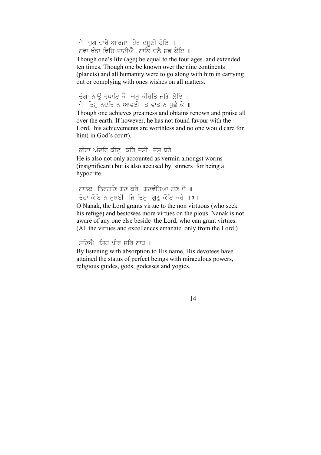ਜੇ ਜੁਗ ਚਾਰੇ ਆਰਜਾ ਹੋਰ ਦਸੂਣੀ ਹੋਇ ॥ ਨਵਾ ਖੰਡਾ ਵਿਚਿ ਜਾਣੀਐਂ ਨਾਲਿ ਚਲੈ ਸਭ ਕੋਇ ॥

Though one's life (age) be equal to the four ages and extended ten times. Though one be known over the nine continents (planets) and all humanity were to go along with him in carrying out or complying with ones wishes on all matters.

ਚੰਗਾ ਨਾਊ ਰਖਾਇ ਕੈ ਜਸ ਕੀਰਤਿ ਜਗਿ ਲੇਇ ॥ ਜੇ ਤਿਸ ਨਦਰਿ ਨ ਆਵਈ ਤ ਵਾਤ ਨ ਪਛੈ ਕੇ ॥

Though one achieves greatness and obtains renown and praise all over the earth. If however, he has not found favour with the Lord, his achievements are worthless and no one would care for him( in God's court).

#### ਕੀਟਾ ਅੰਦਰਿ ਕੀਟ ਕਰਿ ਦੋਸੀ ਦੋਸ ਧਰੇ ॥

He is also not only accounted as vermin amongst worms (insignificant) but is also accused by sinners for being a hypocrite.

ਨਾਨਕ, ਨਿਰਗਣਿ ਗਣ ਕਰੇ, ਗਣਵੰਤਿਆ ਗਣ ਦੇ ॥ ਤੇਹਾ ਕੋਇ ਨ ਸਝਈ ਜਿ ਤਿਸ ਗੁਣ ਕੋਇ ਕਰੇ  $\| \mathbf{z} \|$ 

O Nanak, the Lord grants virtue to the non virtuous (who seek his refuge) and bestowes more virtues on the pious. Nanak is not aware of any one else beside the Lord, who can grant virtues. (All the virtues and excellences emanate only from the Lord.)

#### ਸਣਿਐ ਸਿਧ ਪੀਰ ਸਰਿ ਨਾਥ $\parallel$

By listening with absorption to His name, His devotees have attained the status of perfect beings with miraculous powers, religious guides, gods, godesses and yogies.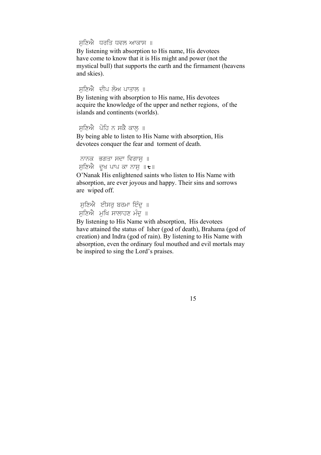ਸਣਿਐ ਧਰਤਿ ਧਵਲ ਆਕਾਸ ॥

By listening with absorption to His name, His devotees have come to know that it is His might and power (not the mystical bull) that supports the earth and the firmament (heavens and skies).

ਸਣਿਐ ਦੀਪ ਲੋਅ ਪਾਤਾਲ ॥

By listening with absorption to His name, His devotees acquire the knowledge of the upper and nether regions, of the islands and continents (worlds).

```
ਸਣਿਐ ਪੋਹਿ ਨ ਸਕੈ ਕਾਲ ॥
```
By being able to listen to His Name with absorption, His devotees conquer the fear and torment of death.

ਨਾਨਕ ਭਗਤਾ ਸਦਾ ਵਿਗਾਸ ॥ ਸਣਿਐ ਦਖ ਪਾਪ ਕਾ ਨਾਸ $\|t\|$ 

O'Nanak His enlightened saints who listen to His Name with absorption, are ever joyous and happy. Their sins and sorrows are wiped off.

ਸਣਿਐ ਈਸਰ ਬਰਮਾ ਇੰਦ ॥ ਸਣਿਐ ਮਖਿ ਸਾਲਾਹਣ ਮੰਦ ॥

By listening to His Name with absorption, His devotees have attained the status of Isher (god of death), Brahama (god of creation) and Indra (god of rain). By listening to His Name with absorption, even the ordinary foul mouthed and evil mortals may be inspired to sing the Lord's praises.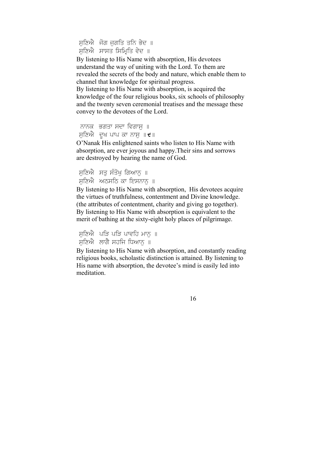ਸਣਿਐ ਜੋਗ ਜਗਤਿ ਤਨਿ ਭੇਦ ॥ ਸਣਿਐ ਸਾਸਤ ਸਿਮਿਤਿ ਵੇਦ ॥

By listening to His Name with absorption, His devotees understand the way of uniting with the Lord. To them are revealed the secrets of the body and nature, which enable them to channel that knowledge for spiritual progress.

By listening to His Name with absorption, is acquired the knowledge of the four religious books, six schools of philosophy and the twenty seven ceremonial treatises and the message these convey to the devotees of the Lord.

ਨਾਨਕ ਭਗਤਾ ਸਦਾ ਵਿਗਾਸ ॥ ਸਣਿਐ ਦਖ ਪਾਪ ਕਾ ਨਾਸ $\| \mathbf{t} \|$ 

O'Nanak His enlightened saints who listen to His Name with absorption, are ever joyous and happy.Their sins and sorrows are destroyed by hearing the name of God.

ਸੁਣਿਐ ਸਤੂ ਸੰਤੋਖੁ ਗਿਆਨੁ ॥ ਸੁਣਿਐ ਅਠਸੂਠਿ ਕਾ ਇਸਨਾਨ ॥

By listening to His Name with absorption, His devotees acquire the virtues of truthfulness, contentment and Divine knowledge. (the attributes of contentment, charity and giving go together). By listening to His Name with absorption is equivalent to the merit of bathing at the sixty-eight holy places of pilgrimage.

ਸਣਿਐ ਪੜਿ ਪੜਿ ਪਾਵਹਿ ਮਾਨ ॥ ਸੁਣਿਐ ਲਾਗੈ ਸਹਜਿ ਧਿਆਨ ॥

By listening to His Name with absorption, and constantly reading religious books, scholastic distinction is attained. By listening to His name with absorption, the devotee's mind is easily led into meditation.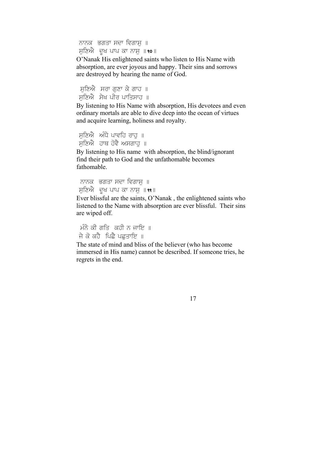ਨਾਨਕ ਭਗਤਾ ਸਦਾ ਵਿਗਾਸ ॥ ਸਣਿਐ ਦਖ ਪਾਪ ਕਾ ਨਾਸ ॥**९०**॥

O'Nanak His enlightened saints who listen to His Name with absorption, are ever joyous and happy. Their sins and sorrows are destroyed by hearing the name of God.

ਸਣਿਐ ਸਰਾ ਗਣਾ ਕੇ ਗਾਹ ॥ ਸਣਿਐ ਸੇਖ ਪੀਰ ਪਾਤਿਸਾਹ ॥

By listening to His Name with absorption, His devotees and even ordinary mortals are able to dive deep into the ocean of virtues and acquire learning, holiness and royalty.

```
ਸੁਣਿਐ ਅੰਧੇ ਪਾਵਹਿ ਰਾਹ ॥
ਸਣਿਐ ਹਾਥ ਹੋਵੈ ਅਸਗਾਹ ॥
```
By listening to His name with absorption, the blind/ignorant find their path to God and the unfathomable becomes fathomable.

ਨਾਨਕ ਭਗਤਾ ਸਦਾ ਵਿਗਾਸ ॥ ਸਣਿਐ ਦੁਖ ਪਾਪ ਕਾ ਨਾਸ ॥**९९**॥

Ever blissful are the saints, O'Nanak , the enlightened saints who listened to the Name with absorption are ever blissful. Their sins are wiped off.

```
ਮੰਨੇ ਕੀ ਗਤਿ ਕਹੀ ਨ ਜਾਇ ॥
ਜੇ ਕੋ ਕਹੈ। ਪਿਛੈ ਪਛਤਾਇ ॥
```
The state of mind and bliss of the believer (who has become immersed in His name) cannot be described. If someone tries, he regrets in the end.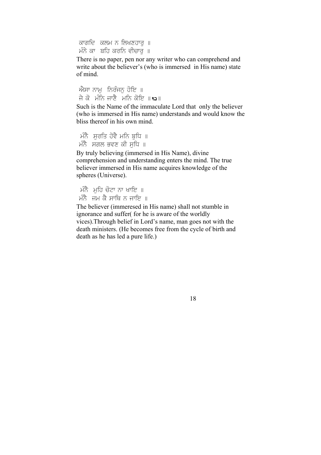ਕਾਗਦਿ ਕਲਮ ਨ ਲਿਖਣਹਾਰ ॥ ਮੰਨੇ ਕਾ ਬਹਿ ਕਰਨਿ ਵੀਚਾਰ ॥

There is no paper, pen nor any writer who can comprehend and write about the believer's (who is immersed in His name) state of mind.

 $\hat{\mathcal{W}}$ ਸਾ ਨਾਮ ਨਿਰੰਜਨ ਹੋਇ ॥ ਜੇ ਕੋ ਮੰਨਿ ਜਾਣੈ ਮਨਿ ਕੋਇ ॥**९**२॥

Such is the Name of the immaculate Lord that only the believer (who is immersed in His name) understands and would know the bliss thereof in his own mind.

ਮੰਨੈ ਸਰਤਿ ਹੋਵੈ ਮਨਿ ਬਧਿ ॥  $\hat{H}$ ਨੇ ਸਗਲ ਭਵਣ ਕੀ ਸਧਿ ॥

By truly believing (immersed in His Name), divine comprehension and understanding enters the mind. The true believer immersed in His name acquires knowledge of the spheres (Universe).

```
ਮੰਨੈ ਮਹਿ ਚੋਟਾ ਨਾ ਖਾਇ\parallelਮੰਨੈ ਜਮ ਕੈ ਸਾਥਿ ਨ ਜਾਇ ॥
```
The believer (immeresed in His name) shall not stumble in ignorance and suffer( for he is aware of the worldly vices).Through belief in Lord's name, man goes not with the death ministers. (He becomes free from the cycle of birth and death as he has led a pure life.)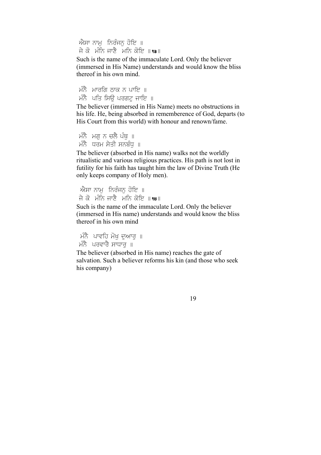ਐਸਾ ਨਾਮ ਨਿਰੰਜਨ ਹੋਇ ॥ ਜੇ ਕੋ ਮੰਨਿ ਜਾਣੈ ਮਨਿ ਕੋਇ ॥ $\,$ ।।

Such is the name of the immaculate Lord. Only the believer (immersed in His Name) understands and would know the bliss thereof in his own mind.

ਮੰਨੈ ਮਾਰਗਿ ਠਾਕ ਨ ਪਾਇ $\parallel$  ॥ ਮੰਨੈ $\overrightarrow{v}$  ਪਤਿ ਸਿਊ ਪਰਗਟ ਜਾਇ ॥

The believer (immersed in His Name) meets no obstructions in his life. He, being absorbed in rememberence of God, departs (to His Court from this world) with honour and renown/fame.

```
ਮੰਨੈ ਮਗੁ ਨ ਚਲੈ ਪੰਥੁ\parallelਮੰਨੈ ਧਰਮ ਸੇਤੀ ਸਨਬੰਧ ॥
```
The believer (absorbed in His name) walks not the worldly ritualistic and various religious practices. His path is not lost in futility for his faith has taught him the law of Divine Truth (He only keeps company of Holy men).

```
ਐਸਾ ਨਾਮ  ਨਿਰੰਜਨ ਹੋਇ ॥
ਜੇ ਕੋ ਮੰਨਿ ਜਾਣੈ ਮਨਿ ਕੋਇ ॥\,ਅ\,॥
```
Such is the name of the immaculate Lord. Only the believer (immersed in His name) understands and would know the bliss thereof in his own mind

ਮੰਨੈ ਪਾਵਹਿ ਮੋਖੁ ਦੁਆਰੁ ॥ ਮੰਨੈ ਪਰਵਾਰੈ ਸਾਧਾਰ ॥

The believer (absorbed in His name) reaches the gate of salvation. Such a believer reforms his kin (and those who seek his company)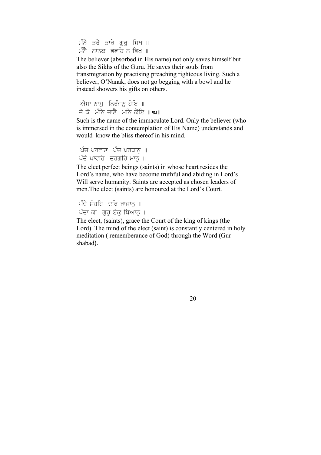ਮੰਨੈ ਤਰੈ ਤਾਰੇ ਗਰ ਸਿਖ ॥ ਮੰਨੈ ਨਾਨਕ ਭਵਹਿ ਨ ਭਿਖ ॥

The believer (absorbed in His name) not only saves himself but also the Sikhs of the Guru. He saves their souls from transmigration by practising preaching righteous living. Such a believer, O'Nanak, does not go begging with a bowl and he instead showers his gifts on others.

ਐਸਾ ਨਾਮ ਨਿਰੰਜਨ ਹੋਇ ॥ ਜੇ ਕੋ ਮੰਨਿ ਜਾਣੈ ਮਨਿ ਕੋਇ ॥**॥**॥

Such is the name of the immaculate Lord. Only the believer (who is immersed in the contemplation of His Name) understands and would know the bliss thereof in his mind.

ਪੰਚ ਪਰਵਾਣ ਪੰਚ ਪਰਧਾਨ ॥ ਪੰਚੇ ਪਾਵਹਿ ਦਰਗਹਿ ਮਾਨ $\overline{\phantom{a}}$  ॥

The elect perfect beings (saints) in whose heart resides the Lord's name, who have become truthful and abiding in Lord's Will serve humanity. Saints are accepted as chosen leaders of men.The elect (saints) are honoured at the Lord's Court.

```
ਪੰਚੇ ਸੋਹਹਿ ਦਰਿ ਰਾਜਾਨੁ ॥
ਪੰਚਾ ਕਾ ਗਰ ਏਕ ਧਿਆਨ ॥
```
The elect, (saints), grace the Court of the king of kings (the Lord). The mind of the elect (saint) is constantly centered in holy meditation ( rememberance of God) through the Word (Gur shabad).

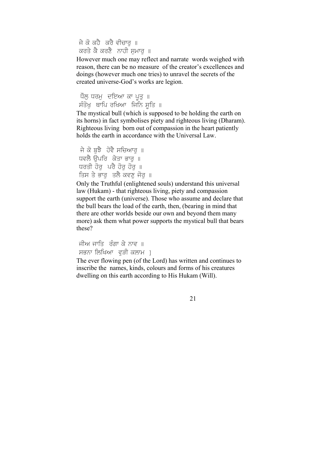ਜੇ ਕੋ ਕਹੈ ਕਰੈ ਵੀਚਾਰ ॥ ਕਰਤੇ ਕੈ ਕਰਣੈ ਨਾਹੀ ਸਮਾਰ ॥

However much one may reflect and narrate words weighed with reason, there can be no measure of the creator's excellences and doings (however much one tries) to unravel the secrets of the created universe-God's works are legion.

ਧੱਲੁ ਧਰਮੁ ਦਇਆ ਕਾ ਪੂਤੁ ॥ ਸੱਤੰਖੁ ਥਾਪਿ ਰਖਿਆ ਜਿਨਿ ਸੂਤਿ ॥

The mystical bull (which is supposed to be holding the earth on its horns) in fact symbolises piety and righteous living (Dharam). Righteous living born out of compassion in the heart patiently holds the earth in accordance with the Universal Law.

```
ਜੇ ਕੋ ਬਝੈ  ਹੋਵੈ ਸਚਿਆਰ ॥
ਧਵਲੈ ਓਪਰਿ ਕੇਤਾ ਭਾਰ ॥
ਧਰਤੀ ਹੋਰ ਪਰੈ ਹੋਰ ਹੋਰ ॥
ਤਿਸ ਤੇ ਭਾਰ ਤਲੈ ਕਵਣ ਜੋਰ ॥
```
Only the Truthful (enlightened souls) understand this universal law (Hukam) - that righteous living, piety and compassion support the earth (universe). Those who assume and declare that the bull bears the load of the earth, then, (bearing in mind that there are other worlds beside our own and beyond them many more) ask them what power supports the mystical bull that bears these?

ਜੀਅ ਜਾਤਿ ਰੰਗਾ ਕੇ ਨਾਵ ॥ ਸਭਨਾ ਲਿਖਿਆ ਵੜੀ ਕਲਾਮ 1

The ever flowing pen (of the Lord) has written and continues to inscribe the names, kinds, colours and forms of his creatures dwelling on this earth according to His Hukam (Will).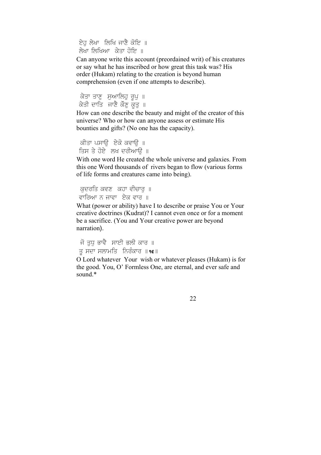ਏਹੁ ਲੇਖਾ ਲਿਖਿ ਜਾਣੈ ਕੋਇ ॥ ਲੇਖਾ ਲਿਖਿਆ ਕੇਤਾ ਹੋਇ ॥

Can anyone write this account (preordained writ) of his creatures or say what he has inscribed or how great this task was? His order (Hukam) relating to the creation is beyond human comprehension (even if one attempts to describe).

ਕੇਤਾ ਤਾਣੁ ਸੁਆਲਿਹੁ ਰੁਪੁ ॥ ਕੇਤੀ ਦਾਤਿ ਜਾਣੈ ਕੌਣ ਕਤ $\parallel$ 

How can one describe the beauty and might of the creator of this universe? Who or how can anyone assess or estimate His bounties and gifts? (No one has the capacity).

```
ਕੀਤਾ ਪਸਾੳ ਏਕੋ ਕਵਾੳ ॥
ਤਿਸ ਤੇ ਹੋਏ। ਲਖ ਦਰੀਆਉ ॥
```
With one word He created the whole universe and galaxies. From this one Word thousands of rivers began to flow (various forms of life forms and creatures came into being).

```
ਕੁਦਰਤਿ ਕਵਣ ਕਹਾ ਵੀਚਾਰੁ ॥
ਵਾਰਿਆ ਨ ਜਾਵਾ ਏਕ ਵਾਰ ॥
```
What (power or ability) have I to describe or praise You or Your creative doctrines (Kudrat)? I cannot even once or for a moment be a sacrifice. (You and Your creative power are beyond narration).

```
ਜੋ ਤਧ ਭਾਵੈ ਸਾਈ ਭਲੀ ਕਾਰ ॥
ਤੂ ਸਦਾ ਸਲਾਮਤਿ ਨਿਰੰਕਾਰ ॥\epsilon॥
```
O Lord whatever Your wish or whatever pleases (Hukam) is for the good. You, O' Formless One, are eternal, and ever safe and sound.\*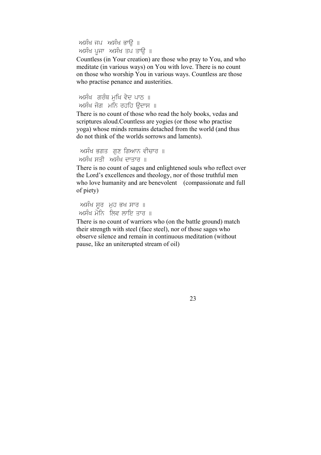ਅਸੰਖ ਜਪ ਅਸੰਖ ਭਾੳ ॥ ਅਸੰਖ ਪੂਜਾ ਅਸੰਖ ਤਪ ਤਾਉ ॥

Countless (in Your creation) are those who pray to You, and who meditate (in various ways) on You with love. There is no count on those who worship You in various ways. Countless are those who practise penance and austerities.

ਅਸੰਖ ਗਰੰਥ ਮਖਿ ਵੇਦ ਪਾਠ ॥ ਅਸੰਖ ਜੋਗ ਮਨਿ ਰਹਹਿ ਉਦਾਸ ॥

There is no count of those who read the holy books, vedas and scriptures aloud.Countless are yogies (or those who practise yoga) whose minds remains detached from the world (and thus do not think of the worlds sorrows and laments).

```
ਅਸੰਖ ਭਗਤ ਗੁਣ ਗਿਆਨ ਵੀਚਾਰ ॥
ਅਸੰਖ ਸਤੀ -ਅਸੰਖ ਦਾਤਾਰ ॥
```
There is no count of sages and enlightened souls who reflect over the Lord's excellences and theology, nor of those truthful men who love humanity and are benevolent (compassionate and full) of piety)

```
ਅਸੱਖ ਸੂਰ  ਮੁਹ ਭਖ ਸਾਰ  ॥
ਅਸੰਖ ਮੀਨੇ ਲਿਵ ਲਾਇ ਤਾਰ ॥
```
There is no count of warriors who (on the battle ground) match their strength with steel (face steel), nor of those sages who observe silence and remain in continuous meditation (without pause, like an uniterupted stream of oil)

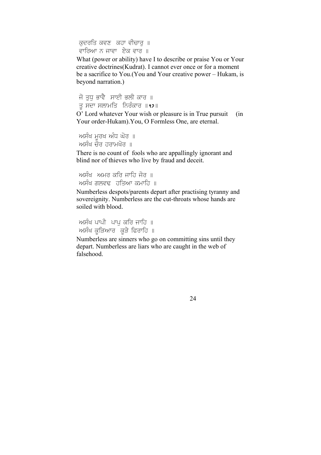ਕੁਦਰਤਿ ਕਵਣ ਕਹਾ ਵੀਚਾਰੁ ॥ ਵਾਰਿਆ ਨ ਜਾਵਾ ਏਕ ਵਾਰ ॥

What (power or ability) have I to describe or praise You or Your creative doctrines(Kudrat). I cannot ever once or for a moment be a sacrifice to You.(You and Your creative power – Hukam, is beyond narration.)

ਜੋ ਤਧ ਭਾਵੈ ਸਾਈ ਭਲੀ ਕਾਰ ॥ ਤੂ ਸਦਾ ਸਲਾਮਤਿ ਨਿਰੰਕਾਰ ॥ $\frac{1}{2}$ ॥

O' Lord whatever Your wish or pleasure is in True pursuit (in Your order-Hukam).You, O Formless One, are eternal.

```
ਅਸੰਖ ਮੂਰਖ ਅੰਧ ਘਰ ॥
ਅਸੰਖ ਚੌਰ ਹਰਾਮਖੌਰ ॥
```
There is no count of fools who are appallingly ignorant and blind nor of thieves who live by fraud and deceit.

```
ਅਸੰਖੂ ਅਮਰ ਕਰਿ ਜਾਹਿ ਜੋਰ ॥
ਅਸੰਖ ਗਲਵਢ  ਹਤਿਆ ਕਮਾਹਿ  ॥
```
Numberless despots/parents depart after practising tyranny and sovereignity. Numberless are the cut-throats whose hands are soiled with blood.

```
ਅਸੰਖ ਪਾਪੀ ਪਾਪ ਕਰਿ ਜਾਹਿ ॥
ਅਸੰਖ ਕੁੜਿਆਰ ਕੁੜੇ ਫਿਰਾਹਿ ॥
```
Numberless are sinners who go on committing sins until they depart. Numberless are liars who are caught in the web of falsehood.

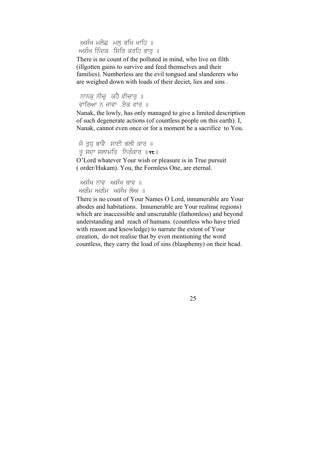ਅਸੰਖ ਮਲੇਛ ਮਲ ਭਖਿ ਖਾਹਿ ॥ ਅਸੰਖ ਨਿੰਦਕ ਸਿਰਿ ਕਰਹਿ ਭਾਰ ॥

There is no count of the polluted in mind, who live on filth (illgotten gains to survive and feed themselves and their families). Numberless are the evil tongued and slanderers who are weighed down with loads of their deciet, lies and sins .

ਨਾਨਕ ਨੀਚ ਕਹੈ ਵੀਚਾਰ ॥ ਵਾਰਿਆ ਨ ਜਾਵਾ ਏਕ ਵਾਰ ॥

Nanak, the lowly, has only managed to give a limited description of such degenerate actions (of countless people on this earth). I, Nanak, cannot even once or for a moment be a sacrifice to You.

```
ਜੋ ਤਧ ਭਾਵੈ ਸਾਈ ਭਲੀ ਕਾਰ ॥
ਤ ਸਦਾ ਸਲਾਮਤਿ ਨਿਰੰਕਾਰ ॥\epsilon॥
```
O'Lord whatever Your wish or pleasure is in True pursuit ( order/Hukam). You, the Formless One, are eternal.

```
ਅਸੰਖ ਨਾਵ ਅਸੰਖ ਥਾਵ ॥
ਅਗੰਮ ਅਗੰਮ ਅਸੰਖ ਲੋਅ ॥
```
There is no count of Your Names O Lord, innumerable are Your abodes and habitations. Innumerable are Your realms( regions) which are inaccessible and unscrutable (fathomless) and beyond understanding and reach of humans. (countless who have tried with reason and knowledge) to narrate the extent of Your creation, do not realise that by even mentioning the word countless, they carry the load of sins (blasphemy) on their head.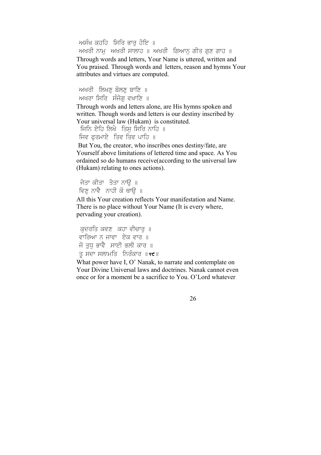ਅਸੰਖ ਕਹਹਿ ਸਿਰਿ ਭਾਰ ਹੋਇ ॥ ਅਖਰੀ ਨਾਮ ਅਖਰੀ ਸਾਲਾਹ ॥ ਅਖਰੀ ਗਿਆਨ ਗੀਤ ਗਣ ਗਾਹ ॥ Through words and letters, Your Name is uttered, written and You praised. Through words and letters, reason and hymns Your attributes and virtues are computed.

```
ਅਖਰੀ ਲਿਖਣ ਬੋਲਣ ਬਾਣਿ ॥
ਅਖਰਾ ਸਿਰਿ ਸੰਜੋਗ ਵਖਾਣਿ ॥
```
Through words and letters alone, are His hymns spoken and written. Though words and letters is our destiny inscribed by Your universal law (Hukam) is constituted.

```
ਜਿਨਿ ਏਹਿ ਲਿਖੇ ਤਿਸ ਸਿਰਿ ਨਾਹਿ ॥
ਜਿਵ ਫਰਮਾਏ ਤਿਵ ਤਿਵ ਪਾਹਿ ॥
```
But You, the creator, who inscribes ones destiny/fate, are Yourself above limitations of lettered time and space. As You ordained so do humans receive(according to the universal law (Hukam) relating to ones actions).

```
ਜੇਤਾ ਕੀਤਾ ਤੇਤਾ ਨਾੳ ॥
ਵਿਣ ਨਾਵੈ ਨਾਹੀ ਕੋ ਥਾੳ ॥
```
All this Your creation reflects Your manifestation and Name. There is no place without Your Name (It is every where, pervading your creation).

```
ਕਦਰਤਿ ਕਵਣ ਕਹਾ ਵੀਚਾਰ ॥
ਵਾਰਿਆ ਨ ਜਾਵਾ ਏਕ ਵਾਰ ॥
ਜੋ ਤਧ ਭਾਵੈ ਸਾਈ ਭਲੀ ਕਾਰ ॥
ਤੂ ਸਦਾ ਸਲਾਮਤਿ ਨਿਰੰਕਾਰ ॥९<del>೮</del> ॥
```
What power have I, O' Nanak, to narrate and contemplate on Your Divine Universal laws and doctrines. Nanak cannot even once or for a moment be a sacrifice to You. O'Lord whatever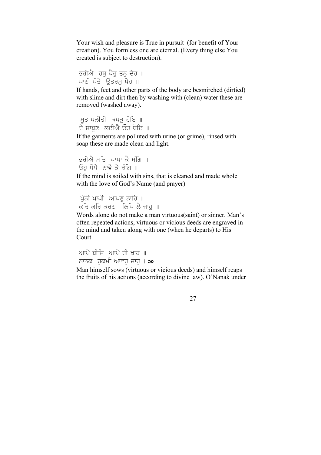Your wish and pleasure is True in pursuit (for benefit of Your creation). You formless one are eternal. (Every thing else You created is subject to destruction).

```
ਭਰੀਐ ਹਥੂ ਪੈਰੂ ਤਨੂ ਦੇਹ ॥
ਪਾਣੀ ਧੋਤੈ ਉਤਰਸ ਖੇਹ ॥
```
If hands, feet and other parts of the body are besmirched (dirtied) with slime and dirt then by washing with (clean) water these are removed (washed away).

```
ਮੂਤ ਪਲੀਤੀ  ਕਪੜ੍ਹ ਹੋਇ ॥
ਦੇ ਸਾਬੂਣੁ ਲਈਐਂ ਓਹੁ ਧੀੲ ॥
```
If the garments are polluted with urine (or grime), rinsed with soap these are made clean and light.

```
ਭਰੀਐ ਮਤਿ ਪਾਪਾ ਕੈ ਸੰਗਿ ॥
ਓਹ ਧੋਪੈ ਨਾਵੈ ਕੈ ਰੰਗਿ ॥
```
If the mind is soiled with sins, that is cleaned and made whole with the love of God's Name (and prayer)

```
ਪੰਨੀ ਪਾਪੀ ਆਖਣ ਨਾਹਿ ॥
ਕਰਿ ਕਰਿ ਕਰਣਾ ਲਿਖਿ ਲੈ ਜਾਹ ॥
```
Words alone do not make a man virtuous(saint) or sinner. Man's often repeated actions, virtuous or vicious deeds are engraved in the mind and taken along with one (when he departs) to His Court.

```
ਆਪੇ ਬੀਜਿ ਆਪੇ ਹੀ ਖਾਹ ॥
ਨਾਨਕ  ਹੁਕਮੀ ਆਵਹੁ ਜਾਹੁ ॥ao॥
```
Man himself sows (virtuous or vicious deeds) and himself reaps the fruits of his actions (according to divine law). O'Nanak under

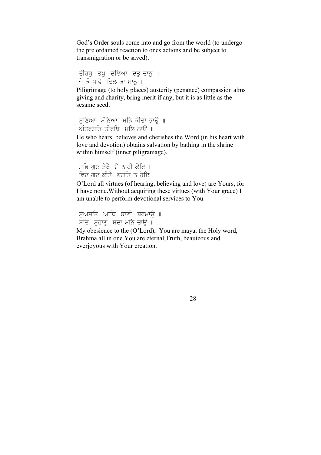God's Order souls come into and go from the world (to undergo the pre ordained reaction to ones actions and be subject to transmigration or be saved).

```
ਤੀਰਥੁ ਤਪੁ ਦਇਆ ਦਤੁ ਦਾਨੁ ॥
ਜੇ ਕੋ ਪਾਵੈ ਤਿਲ ਕਾ ਮਾਨ ॥
```
Piligrimage (to holy places) austerity (penance) compassion alms giving and charity, bring merit if any, but it is as little as the sesame seed.

```
ਸਣਿਆ ਮੰਨਿਆ ਮਨਿ ਕੀਤਾ ਭਾਉ ॥
\hat{m}ਤਰਗਤਿ ਤੀਰਥਿ ਮਲਿ ਨਾੳ ॥
```
He who hears, believes and cherishes the Word (in his heart with love and devotion) obtains salvation by bathing in the shrine within himself (inner piligramage).

ਸਭਿ ਗਣ ਤੇਰੇ ਮੈਂ ਨਾਹੀ ਕੋਇ ॥ ਵਿਣ ਗਣ ਕੀਤੇ ਭਗਤਿ ਨ ਹੋਇ ॥

O'Lord all virtues (of hearing, believing and love) are Yours, for I have none.Without acquiring these virtues (with Your grace) I am unable to perform devotional services to You.

```
ਸਅਸਤਿ ਆਥਿ ਬਾਣੀ ਬਰਮਾੳ ॥
ਸਤਿ ਸਹਾਣ ਸਦਾ ਮਨਿ ਚਾਊ ॥
My obesience to the (O'Lord), You are maya, the Holy word, 
Brahma all in one.You are eternal,Truth, beauteous and 
everjoyous with Your creation.
```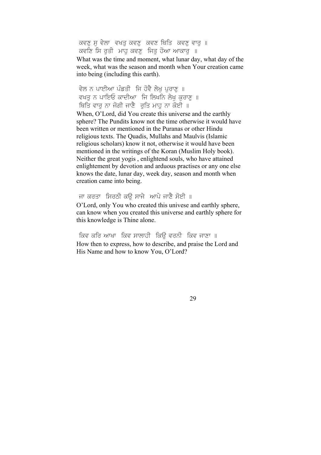ਕਵਣੁ ਸੁ ਵੇਲਾ ਵਖਤੁ ਕਵਣੁ ਕਵਣ ਥਿਤਿ ਕਵਣੁ ਵਾਰੁ ॥ ਕਵਣਿ ਸਿ ਰਤੀ ਮਾਹ ਕਵਣ ਜਿਤ ਹੋਆ ਆਕਾਰ ॥

What was the time and moment, what lunar day, what day of the week, what was the season and month when Your creation came into being (including this earth).

ਵੇਲ ਨ ਪਾਈਆ ਪੰਡਤੀ ਜਿ ਹੋਵੈ ਲੇਖ ਪਰਾਣ ॥ ਵਖਤ ਨ ਪਾਇਓ ਕਾਦੀਆ ਜਿ ਲਿਖਨਿ ਲੇਖ ਕਰਾਣ ॥ ਥਿਤਿ ਵਾਰ ਨਾ ਜੋਗੀ ਜਾਣੈ ਰਤਿ ਮਾਹ ਨਾ ਕੋਈ ॥

When, O'Lord, did You create this universe and the earthly sphere? The Pundits know not the time otherwise it would have been written or mentioned in the Puranas or other Hindu religious texts. The Quadis, Mullahs and Maulvis (Islamic religious scholars) know it not, otherwise it would have been mentioned in the writings of the Koran (Muslim Holy book). Neither the great yogis , enlightend souls, who have attained enlightement by devotion and arduous practises or any one else knows the date, lunar day, week day, season and month when creation came into being.

ਜਾ ਕਰਤਾ ਸਿਰਠੀ ਕੳ ਸਾਜੇ ਆਪੇ ਜਾਣੈ ਸੋਈ ॥ O'Lord, only You who created this univese and earthly sphere, can know when you created this universe and earthly sphere for this knowledge is Thine alone.

ਕਿਵ ਕਰਿ ਆਖਾ ਕਿਵ ਸਾਲਾਹੀ ਕਿੳ ਵਰਨੀ ਕਿਵ ਜਾਣਾ ॥ How then to express, how to describe, and praise the Lord and His Name and how to know You, O'Lord?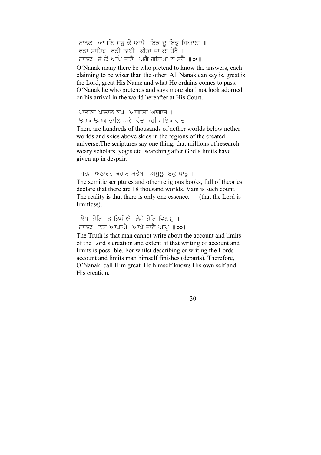ਨਾਨਕ ਆਖਣਿ ਸਭੁ ਕੋ ਆਖੈ ਇਕ ਦੁ ਇਕੁ ਸਿਆਣਾ ॥ ਵਡਾ ਸਾਹਿਬੂ ਵਡੀ ਨਾਈ ਕੀਤਾ ਜਾ ਕਾ ਹੋਵੈ ॥ ਨਾਨਕ, ਜੇ ਕੋ ਆਪੌ ਜਾਣੈ, ਅਗੈ ਗਇਆ ਨ ਸੋਹੈ ॥ 21 ॥

O'Nanak many there be who pretend to know the answers, each claiming to be wiser than the other. All Nanak can say is, great is the Lord, great His Name and what He ordains comes to pass. O'Nanak he who pretends and says more shall not look adorned on his arrival in the world hereafter at His Court.

ਪਾਤਾਲਾ ਪਾਤਾਲ ਲਖ  $w$ ਯਾਗਾਸ ਅਾਗਾਸ ॥ ਓੜਕ ਓੜਕ ਭਾਲਿ ਥਕੇ ਵੇਦ ਕਹਨਿ ਇਕ ਵਾਤ ॥

There are hundreds of thousands of nether worlds below nether worlds and skies above skies in the regions of the created universe.The scriptures say one thing; that millions of researchweary scholars, yogis etc. searching after God's limits have given up in despair.

ਸਹਸ ਅਠਾਰਹ ਕਹਨਿ ਕਤੇਬਾ ਅਸਲ ਇਕ ਧਾਤ ॥

The semitic scriptures and other religious books, full of theories, declare that there are 18 thousand worlds. Vain is such count. The reality is that there is only one essence. (that the Lord is limitless).

ਲੇਖਾ ਹੋਇ ਤ ਲਿਖੀਐ ਲੇਖੈ ਹੋਇ ਵਿਣਾਸ ॥ ਨਾਨਕ ਵਡਾ ਆਖੀਐ ਆਪੇ ਜਾਣੈ ਆਪ ॥22॥

The Truth is that man cannot write about the account and limits of the Lord's creation and extent if that writing of account and limits is possilble. For whilst describing or writing the Lords account and limits man himself finishes (departs). Therefore, O'Nanak, call Him great. He himself knows His own self and His creation.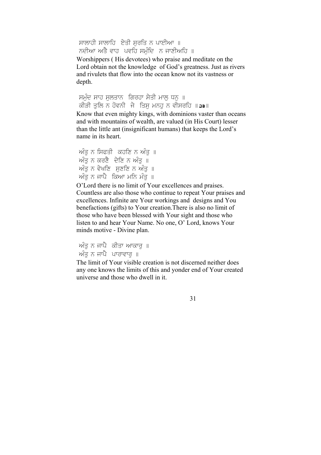ਸਾਲਾਹੀ ਸਾਲਾਹਿ ਏਤੀ ਸਰਤਿ ਨ ਪਾਈਆ ॥ ਨਦੀਆ ਅਤੇ ਵਾਹ ਪਵਹਿ ਸਮੰਦਿ ਨ ਜਾਣੀਅਹਿ ॥

Worshippers ( His devotees) who praise and meditate on the Lord obtain not the knowledge of God's greatness. Just as rivers and rivulets that flow into the ocean know not its vastness or depth.

ਸਮੁੰਦ ਸਾਹ ਸੁਲਤਾਨ ਗਿਰਹਾ ਸੇਤੀ ਮਾਲੂ ਧਨੂ ॥ ਕੀੜੀ ਤਲਿ ਨ ਹੋਵਨੀ ਜੇ ਤਿਸ ਮਨਹ ਨ ਵੀਸਰਹਿ ॥23॥ Know that even mighty kings, with dominions vaster than oceans

and with mountains of wealth, are valued (in His Court) lesser than the little ant (insignificant humans) that keeps the Lord's name in its heart.

 $\hat{m}$ ਤ ਨ ਸਿਫਤੀ ਕਹਣਿ ਨ ਅੰਤ $\parallel$  $\widetilde{n}$ ਤੂ ਨ ਕਰਣੈ ਦੇਣਿ ਨ ਅੰਤ $\parallel$  $\widetilde{\mathcal{M}}$ ਤ ਨ ਵੇਖਣਿ ਸੁਣਣਿ ਨ ਅੰਤ $\parallel$  $\widetilde{\mathcal{M}}$ ਤ ਨ ਜਾਪੈ ਕਿਆ ਮਨਿ ਮੰਤ ॥

O'Lord there is no limit of Your excellences and praises. Countless are also those who continue to repeat Your praises and excellences. Infinite are Your workings and designs and You benefactions (gifts) to Your creation.There is also no limit of those who have been blessed with Your sight and those who listen to and hear Your Name. No one, O' Lord, knows Your minds motive - Divine plan.

ਅੰਤ ਨ ਜਾਪੈ ਕੀਤਾ ਆਕਾਰ ॥ ਅੰਤ ਨ ਜਾਪੈ ਪਾਰਾਵਾਰ ॥

The limit of Your visible creation is not discerned neither does any one knows the limits of this and yonder end of Your created universe and those who dwell in it.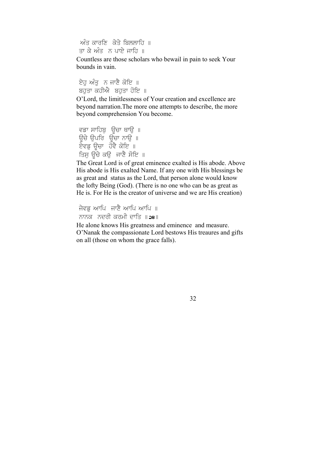ਅੰਤ ਕਾਰਣਿ ਕੇਤੇ ਬਿਲਲਾਹਿ ॥ ਤਾ ਕੇ ਅੰਤੂ ਨੂ ਪਾਏ ਜਾਹਿ ॥

Countless are those scholars who bewail in pain to seek Your bounds in vain.

ਏਹ ਅੰਤੂਨ ਜਾਣੈ ਕੋਇ ॥ ਬਹੁਤਾ ਕਹੀਐ ਬਹੁਤਾ ਹੋਇ ॥

O'Lord, the limitlessness of Your creation and excellence are beyond narration.The more one attempts to describe, the more beyond comprehension You become.

```
ਵਡਾ ਸਾਹਿਬੁ ਊਚਾ ਥਾਉ ॥
ਕਤਾ ਕਿ ਮਨਤੂਰ <sub>ਛੂ</sub>ਤ ਕਾਂਦੂ ।<br>ਉਚੇ ਉਪਰਿ ਉਚਾ ਨਾਉ ॥
ਏਵਡ ਉਚਾ ਹੋਵੈ ਕੋਇ ॥
ਤਿਸ ਉਚੇ ਕਉਂਜਾਣੈ ਸੋਇ ॥
```
The Great Lord is of great eminence exalted is His abode. Above His abode is His exalted Name. If any one with His blessings be as great and status as the Lord, that person alone would know the lofty Being (God). (There is no one who can be as great as He is. For He is the creator of universe and we are His creation)

ਜੇਵਡ ਆਪਿ ਜਾਣੈ ਆਪਿ ਆਪਿ ॥ ਨਾਨਕ ਨਦੂਰੀ ਕਰਮੀ ਦਾਤਿ ॥28॥

He alone knows His greatness and eminence and measure. O'Nanak the compassionate Lord bestows His treaures and gifts on all (those on whom the grace falls).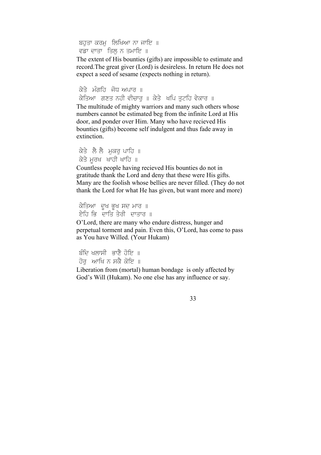ਬਹਤਾ ਕਰਮ ਲਿਖਿਆ ਨਾ ਜਾਇ ॥ ਵਡਾ ਦਾਤਾ ਤਿਲ ਨ ਤਮਾਇ ॥

The extent of His bounties (gifts) are impossible to estimate and record.The great giver (Lord) is desireless. In return He does not expect a seed of sesame (expects nothing in return).

ਕੇਤੇ ਮੰਗਹਿ ਜੋਧੂ ਅਪਾਰ ॥ ਕੇਤਿਆ ਗਣਤ ਨਹੀ ਵੀਚਾਰ ॥ ਕੇਤੇ ਖਪਿ ਤਟਹਿ ਵੇਕਾਰ ॥ The multitude of mighty warriors and many such others whose numbers cannot be estimated beg from the infinite Lord at His door, and ponder over Him. Many who have recieved His bounties (gifts) become self indulgent and thus fade away in extinction.

ਕੇਤੇ ਲੈ ਲੈ ਮਕਰ ਪਾਹਿ ॥ ਕੇਤੇ ਮਰਖ ਖਾਹੀ ਖਾਹਿ ॥

Countless people having recieved His bounties do not in gratitude thank the Lord and deny that these were His gifts. Many are the foolish whose bellies are never filled. (They do not thank the Lord for what He has given, but want more and more)

ਕੇਤਿਆ ਦੂਖ ਭੂਖ ਸਦ ਮਾਰ ॥ ਏਹਿ ਭਿ<sup>ੱ</sup>ਦਾਤਿ ਤੇਰੀ ਦਾਤਾਰ ॥

O'Lord, there are many who endure distress, hunger and perpetual torment and pain. Even this, O'Lord, has come to pass as You have Willed. (Your Hukam)

ਬੰਦਿ ਖੁਲਾਸੀ ਭਾਣੈ ਹੋਇ ॥ ਹੋਰ ਆਖਿ ਨ ਸਕੈ ਕੋਇ ॥

Liberation from (mortal) human bondage is only affected by God's Will (Hukam). No one else has any influence or say.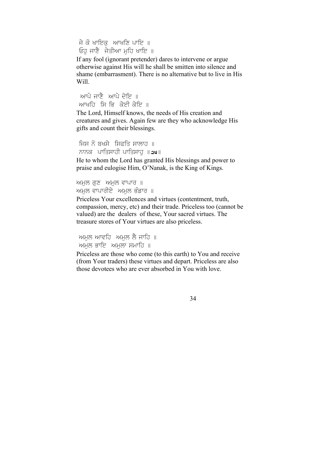ਜੇ ਕੋ ਖਾਇਕ ਆਖਣਿ ਪਾਇ ॥ ਓਹ ਜਾਣੈ ਜੇਤੀਆ ਮਹਿ ਖਾਇ ॥

If any fool (ignorant pretender) dares to intervene or argue otherwise against His will he shall be smitten into silence and shame (embarrasment). There is no alternative but to live in His Will.

ਆਪੇ ਜਾਣੈ ਆਪੇ ਦੇਇ ॥ ਆਖਰਿ ਸਿ ਭਿ ਕੇਈ ਕੇਇ ॥

The Lord, Himself knows, the needs of His creation and creatures and gives. Again few are they who acknowledge His gifts and count their blessings.

```
ਜਿਸ ਨੋ ਬਖਸੇ ਸਿਫਤਿ ਸਾਲਾਹ ॥
ਨਾਨਕ ਪਾਤਿਸਾਹੀ ਪਾਤਿਸਾਹ ॥24॥
He to whom the Lord has granted His blessings and power to 
praise and eulogise Him, O'Nanak, is the King of Kings.
```

```
mਮਲ ਗਣ ਅਮਲ ਵਾਪਾਰ \parallelਅਮਲ ਵਾਪਾਰੀਏ ਅਮਲ ਭੰਡਾਰ ॥
```
Priceless Your excellences and virtues (contentment, truth, compassion, mercy, etc) and their trade. Priceless too (cannot be valued) are the dealers of these, Your sacred virtues. The treasure stores of Your virtues are also priceless.

```
ਅਮਲ ਆਵਹਿ ਅਮਲ ਲੈ ਜਾਹਿ ॥
mਮਲ ਭਾਇ ਅਮਲਾ ਸਮਾਹਿ ॥
```
Priceless are those who come (to this earth) to You and receive (from Your traders) these virtues and depart. Priceless are also those devotees who are ever absorbed in You with love.

$$
34\,
$$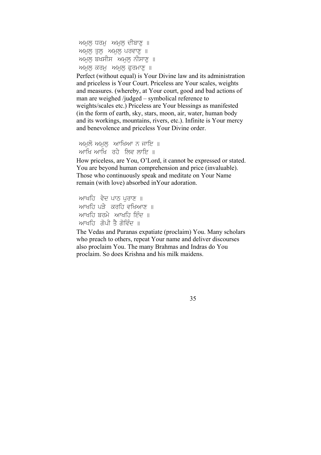```
ਅਮਲ ਧਰਮ ਅਮਲ ਦੀਬਾਣ ॥
mਮਲ ਤਲ ਅਮਲ ਪਰਵਾਣ \parallelਅਮਲ ਬਖਸੀਸ ਅਮਲ ਨੀਸਾਣ ॥
Mਮ\overline{M} ਕਰਮ\overline{M} ਅਮਲ ਫਰਮਾਣ \parallel
```
Perfect (without equal) is Your Divine law and its administration and priceless is Your Court. Priceless are Your scales, weights and measures. (whereby, at Your court, good and bad actions of man are weighed /judged – symbolical reference to weights/scales etc.) Priceless are Your blessings as manifested (in the form of earth, sky, stars, moon, air, water, human body and its workings, mountains, rivers, etc.). Infinite is Your mercy and benevolence and priceless Your Divine order.

```
ਅਮਲੋ ਅਮਲ ਆਖਿਆ ਨ ਜਾਇ\parallelਆਖਿ ਅਾਖਿ ਰਹੇ ਲਿਵ ਲਾਇ \parallel
```
How priceless, are You, O'Lord, it cannot be expressed or stated. You are beyond human comprehension and price (invaluable). Those who continuously speak and meditate on Your Name remain (with love) absorbed inYour adoration.

```
ਆਖਹਿ ਵੇਦ ਪਾਠ ਪਰਾਣ ॥
ਆਖਹਿ ਪੜੇ ਕਰਹਿ ਵਖਿਆਣ ॥
ਆਖਰਿ ਬਰਮੇ ਆਖਰਿ ਇੰਦ ॥
ਆਖਰਿ ਗੋਪੀ ਤੈ ਗੋਵਿੰਦ ॥
```
The Vedas and Puranas expatiate (proclaim) You. Many scholars who preach to others, repeat Your name and deliver discourses also proclaim You. The many Brahmas and Indras do You proclaim. So does Krishna and his milk maidens.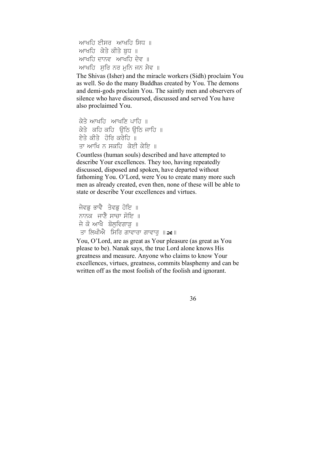```
ਆਖਹਿ ਈਸਰ ਆਖਹਿ ਸਿਧ ॥
ਆਖਹਿ ਕੇਤੇ ਕੀਤੇ ਬਧ ॥
ਆਖਹਿ ਦਾਨਵ ਆਖਹਿ ਦੇਵ ॥
ਆਖਹਿ ਸਰਿ ਨਰ ਮਨਿ ਜਨ ਸੇਵ ॥
```
The Shivas (Isher) and the miracle workers (Sidh) proclaim You as well. So do the many Buddhas created by You. The demons and demi-gods proclaim You. The saintly men and observers of silence who have discoursed, discussed and served You have also proclaimed You.

```
ਕੇਤੇ ਆਖਹਿ ਆਖਣਿ ਪਾਹਿ ॥
ਕੇਤੇ ਕਹਿ ਕਹਿ ਉਠਿ ਉਠਿ ਜਾਹਿ ॥
ਏਤੇ ਕੀਤੇ ਹੋਰਿ ਕਰੇਹਿ ॥
ਤਾ ਆਖਿ ਨ ਸਕਹਿ ਕੇਈ ਕੇਇ ॥
```
Countless (human souls) described and have attempted to describe Your excellences. They too, having repeatedly discussed, disposed and spoken, have departed without fathoming You. O'Lord, were You to create many more such men as already created, even then, none of these will be able to state or describe Your excellences and virtues.

```
ਜੇਵਡ ਭਾਵੈ ਤੇਵਡ ਹੋਇ ॥
ਨਾਨਕ ਜਾਣੈ ਸਾਚਾ ਸੋਇ ॥
ਜੇ ਕੋ ਆਖੈ ਬੋਲਵਿਗਾੜ ॥
ਤਾ ਲਿਖੀਐ ਸਿਰਿ ਗਾਵਾਰਾ ਗਾਵਾਰ ॥a
```
You, O'Lord, are as great as Your pleasure (as great as You please to be). Nanak says, the true Lord alone knows His greatness and measure. Anyone who claims to know Your excellences, virtues, greatness, commits blasphemy and can be written off as the most foolish of the foolish and ignorant.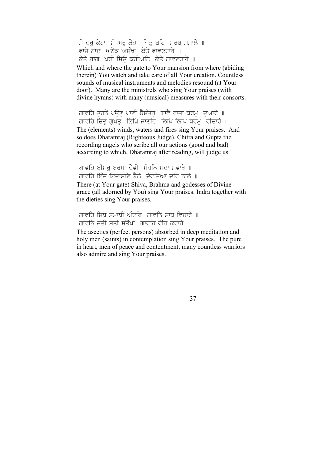ਸੋ ਦਰ ਕੇਹਾ ਸੋ ਘਰ ਕੇਹਾ ਜਿਤ ਬਹਿ ਸਰਬ ਸਮਾਲੇ ॥ ਵਾਜੇ ਨਾਦ ਅਨੇਕ ਅਸੰਖਾ ਕੇਤੇ ਵਾਵਣਹਾਰੇ ॥ ਕੇਤੇ ਰਾਗ ਪੂਰੀ ਸਿਊ ਕਹੀਅਨਿ ਕੇਤੇ ਗਾਵਣਹਾਰੇ ॥

Which and where the gate to Your mansion from where (abiding therein) You watch and take care of all Your creation. Countless sounds of musical instruments and melodies resound (at Your door). Many are the ministrels who sing Your praises (with divine hymns) with many (musical) measures with their consorts.

ਗਾਵਹਿ ਤੁਹਨੋ ਪਉਣੂ ਪਾਣੀ ਬੈਸੰਤਰੂ ਗਾਵੈ ਰਾਜਾ ਧਰਮੂ ਦੁਆਰੇ ॥ ਗਾਵਹਿ ਚਿਤ ਗਪਤ ਲਿਖਿ ਜਾਣਹਿ ਲਿਖਿ ਲਿਖਿ ਧਰਮ ਵੀਚਾਰੇ ॥ The (elements) winds, waters and fires sing Your praises. And

so does Dharamraj (Righteous Judge), Chitra and Gupta the recording angels who scribe all our actions (good and bad) according to which, Dharamraj after reading, will judge us.

ਗਾਵਹਿ ਈਸਰ ਬਰਮਾ ਦੇਵੀ ਸੋਹਨਿ ਸਦਾ ਸਵਾਰੇ ॥ ਗਾਵਹਿ ਇੰਦ ਇਦਾਸਣਿ ਬੈਠੇ। ਦੇਵਤਿਆ ਦਰਿ ਨਾਲੇ ॥

There (at Your gate) Shiva, Brahma and godesses of Divine grace (all adorned by You) sing Your praises. Indra together with the dieties sing Your praises.

ਗਾਵਹਿ ਸਿਧ ਸਮਾਧੀ ਅੰਦਰਿ ਗਾਵਨਿ ਸਾਧ ਵਿਚਾਰੇ ॥ ਗਾਵਨਿ ਜੂਤੀ ਸਤੀ ਸੰਤੋਖੀ -ਗਾਵਹਿ ਵੀਰ ਕਰਾਰੇ ॥

The ascetics (perfect persons) absorbed in deep meditation and holy men (saints) in contemplation sing Your praises. The pure in heart, men of peace and contentment, many countless warriors also admire and sing Your praises.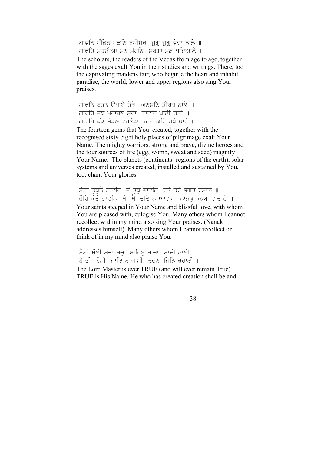ਗਾਵਨਿ ਪੰਡਿਤ ਪੜਨਿ ਰਖੀਸਰ ਜੁਗੁ ਜੁਗੁ ਵੇਦਾ ਨਾਲੇ ॥ ਗਾਵਹਿ ਮੋਹਣੀਆ ਮਨ ਮੋਹਨਿ ਸਰਗਾ ਮਛ ਪਇਆਲੇ ॥

The scholars, the readers of the Vedas from age to age, together with the sages exalt You in their studies and writings. There, too the captivating maidens fair, who beguile the heart and inhabit paradise, the world, lower and upper regions also sing Your praises.

ਗਾਵਨਿ ਰਤਨ ਉਪਾਏ ਤੇਰੇ ਅਠਸਠਿ ਤੀਰਥ ਨਾਲੇ ॥ ਗਾਵਹਿ ਜੋਧ ਮਹਾਬਲ ਸੁਰਾ ਗਾਵਹਿ ਖਾਣੀ ਚਾਰੇ ॥ ਗਾਵਹਿ ਖੰਡ ਮੰਡਲ ਵਰਭੰਡਾ ਕਰਿ ਕਰਿ ਰਖੇ ਧਾਰੇ ॥

The fourteen gems that You created, together with the recognised sixty eight holy places of pilgrimage exalt Your Name. The mighty warriors, strong and brave, divine heroes and the four sources of life (egg, womb, sweat and seed) magnify Your Name. The planets (continents- regions of the earth), solar systems and universes created, installed and sustained by You, too, chant Your glories.

ਸੇਈ ਤਧਨੋ ਗਾਵਹਿ ਜੋ ਤਧ ਭਾਵਨਿ ਰਤੇ ਤੇਰੇ ਭਗਤ ਰਸਾਲੇ ॥ ਹੋਰਿ ਕੇਤੇ ਗਾਵਨਿ ਸੇ ਮੈ ਚਿਤਿ ਨ ਆਵਨਿ ਨਾਨਕ ਕਿਆ ਵੀਚਾਰੇ ॥ Your saints steeped in Your Name and blissful love, with whom You are pleased with, eulogise You. Many others whom I cannot recollect within my mind also sing Your praises. (Nanak addresses himself). Many others whom I cannot recollect or think of in my mind also praise You.

ਸੋਈ ਸੋਈ ਸਦਾ ਸਚੁ ਸਾਹਿਬੁ ਸਾਚਾ ਸਾਚੀ ਨਾਈ ॥ ਹੈ ਭੀ ਹੋਸੀ ਜਾਇ ਨ ਜਾਸੀ ਰਚਨਾ ਜਿਨਿ ਰਚਾਈ ॥ The Lord Master is ever TRUE (and will ever remain True). TRUE is His Name. He who has created creation shall be and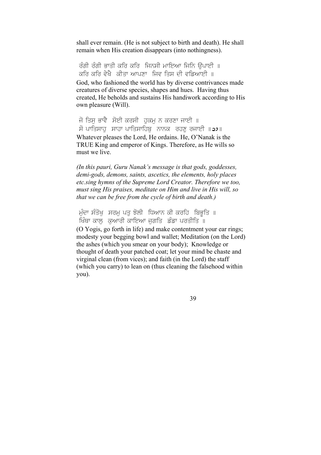shall ever remain. (He is not subject to birth and death). He shall remain when His creation disappears (into nothingness).

ਰੰਗੀ ਰੰਗੀ ਭਾਤੀ ਕਰਿ ਕਰਿ ਜਿਨਸੀ ਮਾਇਆ ਜਿਨਿ ਉਪਾਈ ॥ ਕਰਿ ਕਰਿ ਵੇਖੈ ਕੀਤਾ ਆਪਣਾ ਜਿਵ ਤਿਸ ਦੀ ਵਡਿਆਈ ॥ God, who fashioned the world has by diverse contrivances made creatures of diverse species, shapes and hues. Having thus created, He beholds and sustains His handiwork according to His own pleasure (Will).

ਜੋ ਤਿਸ ਭਾਵੈ ਸੋਈ ਕਰਸੀ ਹਕਮ ਨ ਕਰਣਾ ਜਾਈ ॥ ਸੋ ਪਾਤਿਸਾਹੁ ਸਾਹਾ ਪਾਤਿਸਾਹਿਬੁ<sup>ੱ</sup>ਨਾਨਕ ਰਹਣੁ ਰਜਾਈ ॥22॥ Whatever pleases the Lord, He ordains. He, O'Nanak is the TRUE King and emperor of Kings. Therefore, as He wills so must we live.

*(In this pauri, Guru Nanak's message is that gods, goddesses, demi-gods, demons, saints, ascetics, the elements, holy places etc.sing hymns of the Supreme Lord Creator. Therefore we too, must sing His praises, meditate on Him and live in His will, so that we can be free from the cycle of birth and death.)* 

ਮੁੰਦਾ ਸੰਤੋਖੁ ਸਰਮੁ ਪਤੁ ਝੋਲੀ ਧਿਆਨ ਕੀ ਕਰਹਿ ਬਿਭੂਤਿ ॥ ਖਿੰਥਾ ਕਾਲ ਕੁਆਰੀ ਕਾਇਆ ਜਗਤਿ ਡੰਡਾ ਪਰਤੀਤਿ ॥ (O Yogis, go forth in life) and make contentment your ear rings; modesty your begging bowl and wallet; Meditation (on the Lord) the ashes (which you smear on your body); Knowledge or thought of death your patched coat; let your mind be chaste and virginal clean (from vices); and faith (in the Lord) the staff (which you carry) to lean on (thus cleaning the falsehood within you).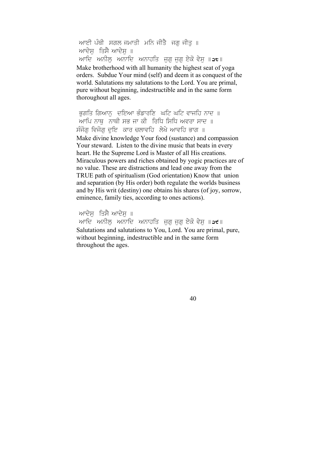ਆਈ ਪੰਥੀ ਸਗਲ ਜਮਾਤੀ ਮਨਿ ਜੀਤੈ ਜਗ ਜੀਤ ॥ ਆਦੇਸ਼ ਤਿਸੈ $w$ ਦੇਸ $\parallel$ ਆਦਿ ਅਨੀਲੂ ਅਨਾਦਿ ਅਨਾਹਤਿ ਜੁਗੁ ਜੁਗੁ ਏਕੋ ਵੇਸੁ ॥at॥ Make brotherhood with all humanity the highest seat of yoga orders. Subdue Your mind (self) and deem it as conquest of the world. Salutations my salutations to the Lord. You are primal, pure without beginning, indestructible and in the same form thoroughout all ages.

ਭਗਤਿ ਗਿਆਨ ਦਇਆ ਭੰਡਾਰਣਿ ਘਟਿ ਘਟਿ ਵਾਜਹਿ ਨਾਦ ॥ ਆਪਿ ਨਾਥ ਨਾਥੀ ਸਭ ਜਾ ਕੀ ਰਿਧਿ ਸਿਧਿ ਅਵਰਾ ਸਾਦ ॥ ਸੰਜੋਗ ਵਿਜੋਗ ਦਇ ਕਾਰ ਚਲਾਵਹਿ ਲੇਖੇ ਆਵਹਿ ਭਾਗ ॥ Make divine knowledge Your food (sustance) and compassion Your steward. Listen to the divine music that beats in every heart. He the Supreme Lord is Master of all His creations. Miraculous powers and riches obtained by yogic practices are of no value. These are distractions and lead one away from the TRUE path of spiritualism (God orientation) Know that union and separation (by His order) both regulate the worlds business and by His writ (destiny) one obtains his shares (of joy, sorrow, eminence, family ties, according to ones actions).

ਆਦੇਸ਼ ਤਿਸੈ ਆਦੇਸ਼ ॥

ਆਦਿ ਅਨੀਲ ਅਨਾਦਿ ਅਨਾਹਤਿ ਜਗੁ ਜਗ ਏਕੋ ਵੇਸ ॥a<del>t</del>॥ Salutations and salutations to You, Lord. You are primal, pure, without beginning, indestructible and in the same form throughout the ages.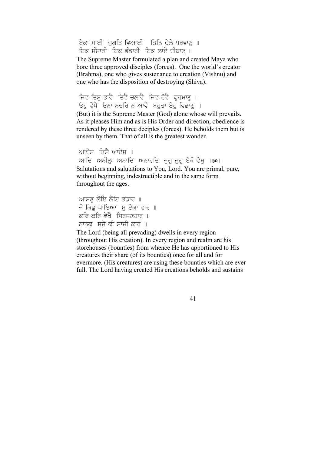ਏਕਾ ਮਾਈ ਜਗਤਿ ਵਿਆਈ ਤਿਨਿ ਚੇਲੇ ਪਰਵਾਣ ॥ ਇਕ ਸੰਸਾਰੀ ਇਕ ਭੰਡਾਰੀ ਇਕ ਲਾਏ ਦੀਬਾਣ ॥

The Supreme Master formulated a plan and created Maya who bore three approved disciples (forces). One the world's creator (Brahma), one who gives sustenance to creation (Vishnu) and one who has the disposition of destroying (Shiva).

ਜਿਵ ਤਿਸ ਭਾਵੈ ਤਿਵੈ ਚਲਾਵੈ ਜਿਵ ਹੋਵੈ ਫਰਮਾਣ ॥ Ehu vyKY Enw ndir n AwvY bhuqw eyhu ivfwxu ]

(But) it is the Supreme Master (God) alone whose will prevails. As it pleases Him and as is His Order and direction, obedience is rendered by these three deciples (forces). He beholds them but is unseen by them. That of all is the greatest wonder.

ਆਦੇਸ਼ ਤਿਸੈ ਆਦੇਸ਼ ॥ ਆਦਿ ਅਨੀਲ ਅਨਾਦਿ ਅਨਾਹਤਿ ਜਗੂ ਜਗ ਏਕੋ ਵੇਸ ॥ $\mathsf{a}$ о॥ Salutations and salutations to You, Lord. You are primal, pure, without beginning, indestructible and in the same form throughout the ages.

ਆਸਣ ਲੋਇ ਲੋਇ ਭੰਡਾਰ ॥ ਜੋ ਕਿਛ ਪਾਇਆ ਸ ਏਕਾ ਵਾਰ ॥ ਕਰਿ ਕਰਿ ਵੇਖੈ ਸਿਰਜਣਹਾਰ ॥ ਨਾਨਕ ਸਚੇ ਕੀ ਸਾਚੀ ਕਾਰ ॥

The Lord (being all prevading) dwells in every region (throughout His creation). In every region and realm are his storehouses (bounties) from whence He has apportioned to His creatures their share (of its bounties) once for all and for evermore. (His creatures) are using these bounties which are ever full. The Lord having created His creations beholds and sustains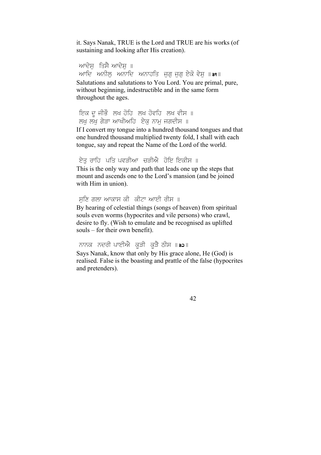it. Says Nanak, TRUE is the Lord and TRUE are his works (of sustaining and looking after His creation).

ਆਦੇਸ਼ ਤਿਸੈ ਆਦੇਸ਼ ॥ ਆਦਿ ਅਨੀਲ ਅਨਾਦਿ ਅਨਾਹਤਿ ਜਗੁ ਜਗ ਏਕੋ ਵੇਸ ॥**੩**।॥ Salutations and salutations to You Lord. You are primal, pure, without beginning, indestructible and in the same form throughout the ages.

ਇਕ ਦੂ ਜੀਭੌ ਲਖ ਹੋਹਿ ਲਖ ਹੋਵਹਿ ਲਖ ਵੀਸ ॥ ਲਖ ਲੱਖ ਗੇੜਾ ਆਖੀਅਹਿ ਏਕ ਨਾਮ ਜਗਦੀਸ ॥

If I convert my tongue into a hundred thousand tongues and that one hundred thousand multiplied twenty fold, I shall with each tongue, say and repeat the Name of the Lord of the world.

```
ਏਤ ਰਾਹਿ ਪਤਿ ਪਵੜੀਆਂ ਚੜੀਐਂ ਹੋਇ ਇਕੀਸ ॥
```
This is the only way and path that leads one up the steps that mount and ascends one to the Lord's mansion (and be joined with Him in union).

```
ਸਣਿ ਗਲਾ ਆਕਾਸ ਕੀ ਕੀਟਾ ਆਈ ਰੀਸ ॥
By hearing of celestial things (songs of heaven) from spiritual 
souls even worms (hypocrites and vile persons) who crawl, 
desire to fly. (Wish to emulate and be recognised as uplifted 
souls – for their own benefit).
```
ਨਾਨਕ ਨਦਰੀ ਪਾਈਐ ਕੜੀ ਕੜੈ ਠੀਸ ॥ <sub>੩੨॥</sub>

Says Nanak, know that only by His grace alone, He (God) is realised. False is the boasting and prattle of the false (hypocrites and pretenders).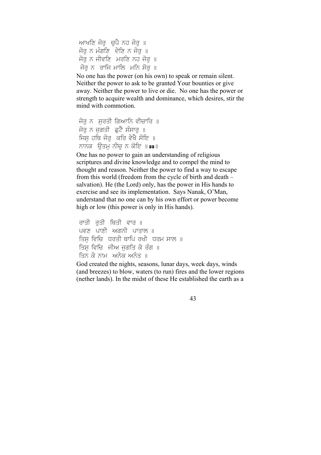```
ਆਖਣਿ ਜੋਰ ਚਪੈ ਨਹ ਜੋਰ ॥
ਜੋਰ ਨ ਮੰਗਣਿ ਦੇਣਿ ਨ ਜੋਰ ॥
ਜੋਰ ਨ ਜੀਵਣਿ ਮਰਣਿ ਨਹ ਜੋਰ ॥
ਜੋਰ ਨੂੰ ਰਾਜਿ ਮਾਲਿ ਮਨਿ ਸੋਰ ॥
```
No one has the power (on his own) to speak or remain silent. Neither the power to ask to be granted Your bounties or give away. Neither the power to live or die. No one has the power or strength to acquire wealth and dominance, which desires, stir the mind with commotion.

```
ਜੋਰ ਨੂੰ ਸਰਤੀ ਗਿਆਨਿ ਵੀਚਾਰਿ ॥
ਜੋਰ ਨ ਜਗਤੀ ਛਟੈ ਸੰਸਾਰ ॥
ਜਿਸ ਹਥਿ ਜੋਰ ਕਰਿ ਵੇਖੈ ਸੋਇ ॥
ਨਾਨਕ  ਉਤਮ ਨੀਚ ਨ ਕੋਇ ॥੩੩॥
```
One has no power to gain an understanding of religious scriptures and divine knowledge and to compel the mind to thought and reason. Neither the power to find a way to escape from this world (freedom from the cycle of birth and death – salvation). He (the Lord) only, has the power in His hands to exercise and see its implementation. Says Nanak, O'Man, understand that no one can by his own effort or power become high or low (this power is only in His hands).

```
ਰਾਤੀ ਰਤੀ ਥਿਤੀ ਵਾਰ ॥
ਪਵਣ ਪਾਣੀ ਅਗਨੀ ਪਾਤਾਲ ॥
ਤਿਸ ਵਿਚਿ ਧਰਤੀ ਥਾਪਿ ਰਖੀ ਧਰਮ ਸਾਲ ॥
ਤਿਸ ਵਿਚਿ  ਜੀਅ ਜਗਤਿ ਕੇ ਰੰਗ ॥
ਤਿਨ ਕੇ ਨਾਮੂ, ਅਨੇਕ ਅਨੰਤ ॥
```
God created the nights, seasons, lunar days, week days, winds (and breezes) to blow, waters (to run) fires and the lower regions (nether lands). In the midst of these He established the earth as a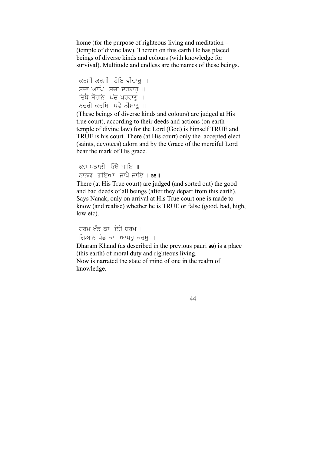home (for the purpose of righteous living and meditation – (temple of divine law). Therein on this earth He has placed beings of diverse kinds and colours (with knowledge for survival). Multitude and endless are the names of these beings.

```
ਕਰਮੀ ਕਰਮੀ  ਹੋਇ ਵੀਚਾਰ ॥
ਸਚਾ ਆਪਿ ਸਚਾ ਦਰਬਾਰ ॥
ਤਿਥੈ ਸੋਹਨਿ  ਪੰਚ ਪਰਵਾਣ  ॥
ਨਦਰੀ ਕਰਮਿ  ਪਵੈ ਨੀਸਾਣ ॥
```
(These beings of diverse kinds and colours) are judged at His true court), according to their deeds and actions (on earth temple of divine law) for the Lord (God) is himself TRUE and TRUE is his court. There (at His court) only the accepted elect (saints, devotees) adorn and by the Grace of the merciful Lord bear the mark of His grace.

ਕਚ ਪਕਾਈ ਓਥੈ ਪਾਇ ॥ ਨਾਨਕ ਗੁਇਆ ਜਾਪੈ ਜਾਇ ॥**੩੪**॥

There (at His True court) are judged (and sorted out) the good and bad deeds of all beings (after they depart from this earth). Says Nanak, only on arrival at His True court one is made to know (and realise) whether he is TRUE or false (good, bad, high, low etc).

ਧਰਮ ਖੰਡ ਕਾਂ ਏਹੋ ਧਰਮ ॥ ਗਿਆਨ ਖੰਡ ਕਾ<sub>ਂ</sub> ਆਖਹ ਕਰਮ**ੂ** ॥

Dharam Khand (as described in the previous pauri **38**) is a place (this earth) of moral duty and righteous living. Now is narrated the state of mind of one in the realm of knowledge.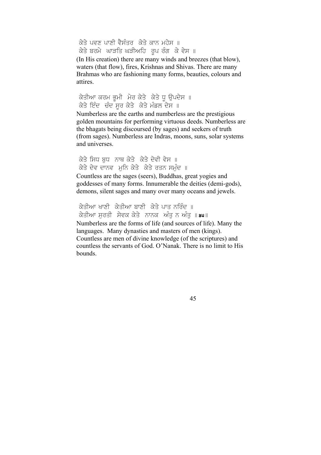ਕੇਤੇ ਪਵਣ ਪਾਣੀ ਵੈਸੰਤਰ ਕੇਤੇ ਕਾਨ ਮਹੇਸ ॥ ਕੇਤੇ ਬਰਮੇ ਘਾੜਤਿ ਘੜੀਅਹਿ ਰੂਪ ਰੰਗ ਕੇ ਵੇਸ ॥

(In His creation) there are many winds and breezes (that blow), waters (that flow), fires, Krishnas and Shivas. There are many Brahmas who are fashioning many forms, beauties, colours and attires.

ਕੇਤੀਆ ਕਰਮ ਭੂਮੀ ਮੇਰ ਕੇਤੇ ਕੇਤੇ ਧੂ ਉਪਦੇਸ ॥ ਕੇਤੇ ਇੰਦ ਚੰਦ ਸਰ ਕੇਤੇ ਕੇਤੇ ਮੰਡਲ ਦੇਸ ॥

Numberless are the earths and numberless are the prestigious golden mountains for performing virtuous deeds. Numberless are the bhagats being discoursed (by sages) and seekers of truth (from sages). Numberless are Indras, moons, suns, solar systems and universes.

ਕੇਤੇ ਸਿਧ ਬਧ ਨਾਥ ਕੇਤੇ ਕੇਤੇ ਦੇਵੀ ਵੇਸ ॥ ਕੇਤੇ ਦੇਵ ਦਾਨਵ ਮਨਿ ਕੇਤੇ ਕੇਤੇ ਰਤਨ ਸਮੰਦ ॥

Countless are the sages (seers), Buddhas, great yogies and goddesses of many forms. Innumerable the deities (demi-gods), demons, silent sages and many over many oceans and jewels.

ਕੇਤੀਆ ਖਾਣੀ ਕੇਤੀਆ ਬਾਣੀ ਕੇਤੇ ਪਾਤ ਨਰਿੰਦ ॥ ਕੇਤੀਆ ਸਰਤੀ ਸੇਵਕ ਕੇਤੇ ਨਾਨਕ ਅੰਤ ਨ ਅੰਤ ॥**a੫**॥

Numberless are the forms of life (and sources of life). Many the languages. Many dynasties and masters of men (kings). Countless are men of divine knowledge (of the scriptures) and countless the servants of God. O'Nanak. There is no limit to His bounds.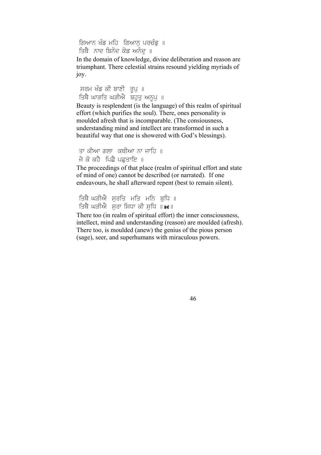ਗਿਆਨ ਖੰਡ ਮਹਿ ਗਿਆਨੂ ਪਰਚੰਡੂ ॥ ਤਿਥੈ ਨਾਦ ਬਿਨੋਦ ਕੋਡ ਅਨੰਦ ॥

In the domain of knowledge, divine deliberation and reason are triumphant. There celestial strains resound yielding myriads of joy.

ਸਰਮ ਖੰਡ ਕੀ ਬਾਣੀ ਰੂਪੁ ॥ ਤਿਥੋਂ ਘਾੜਤਿ ਘੜੀਐਂ ਬਹੁਤੁ ਅਨੂਪੁ ॥

Beauty is resplendent (is the language) of this realm of spiritual effort (which purifies the soul). There, ones personality is moulded afresh that is incomparable. (The consiousness, understanding mind and intellect are transformed in such a beautiful way that one is showered with God's blessings).

```
ਤਾ ਕੀਆ ਗਲਾ ਕਥੀਆ ਨਾ ਜਾਹਿ ॥
ਜੇ ਕੋ ਕਹੈ ਪਿਛੈ ਪਛਤਾਇ ॥
```
The proceedings of that place (realm of spiritual effort and state of mind of one) cannot be described (or narrated). If one endeavours, he shall afterward repent (best to remain silent).

```
ਤਿਥੈ ਘੜੀਐ ਸਰਤਿ ਮਤਿ ਮਨਿ ਬਧਿ ॥
ਤਿਥੈ ਘੜੀਐ ਸਰਾ ਸਿਧਾ ਕੀ ਸਧਿ ॥a∈॥
```
There too (in realm of spiritual effort) the inner consciousness, intellect, mind and understanding (reason) are moulded (afresh). There too, is moulded (anew) the genius of the pious person (sage), seer, and superhumans with miraculous powers.

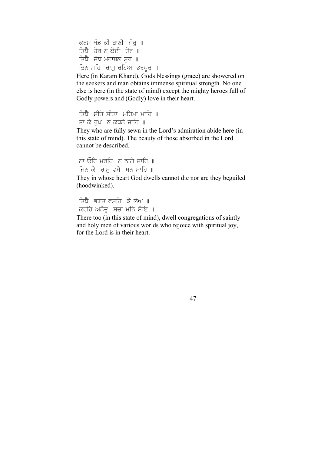```
ਕਰਮ ਖੰਡ ਕੀ ਬਾਣੀ ਜੋਰ ॥
ਤਿਥੈ ਹੋਰ ਨ ਕੋਈ ਹੋਰ ॥
ਤਿਥੈ ਜੋਧ ਮਹਾਬਲ ਸੁਰ\parallelਤਿਨ ਮਹਿ  ਰਾਮ ਰਹਿਆ ਭਰਪੁਰ ॥
```
Here (in Karam Khand), Gods blessings (grace) are showered on the seekers and man obtains immense spiritual strength. No one else is here (in the state of mind) except the mighty heroes full of Godly powers and (Godly) love in their heart.

```
ਤਿਥੈ ਸੀਤੋ ਸੀਤਾ ਮਹਿਮਾ ਮਾਹਿ ॥
ਤਾ ਕੇ ਰੂਪ ਨੂ ਕਥਨੇ ਜਾਹਿ ॥
```
They who are fully sewn in the Lord's admiration abide here (in this state of mind). The beauty of those absorbed in the Lord cannot be described.

ਨਾ ਓਹਿ ਮਰਹਿ $\overline{a}$  ਨ ਨਾਗੇ ਜਾਹਿ $\overline{a}$  ॥ ਜਿਨ ਕੈ ਰਾਮ ਵਸੈ ਮਨ ਮਾਹਿ ॥

They in whose heart God dwells cannot die nor are they beguiled (hoodwinked).

```
ਤਿਥੈ ਭਗਤ ਵਸਹਿ ਕੇ ਲੋਅ ॥
ਕਰਹਿ ਅਨੰਦੂ ਸਚਾ ਮਨਿ ਸੋਇ ॥
```
There too (in this state of mind), dwell congregations of saintly and holy men of various worlds who rejoice with spiritual joy, for the Lord is in their heart.

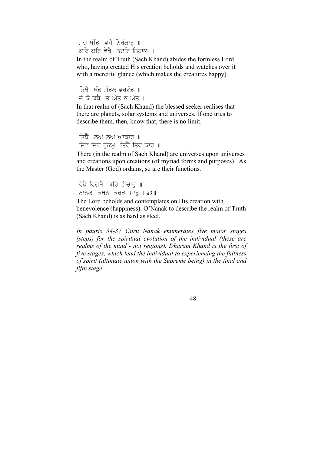ਸਚ ਖੰਡਿ ਵਸੈ ਨਿਰੰਕਾਰ ॥ ਕਰਿ ਕਰਿ ਵੇਖੈ ਨਦਰਿ ਨਿਹਾਲ ॥

In the realm of Truth (Sach Khand) abides the formless Lord, who, having created His creation beholds and watches over it with a merciful glance (which makes the creatures happy).

ਤਿਥੈ ਖੰਡ ਮੰਡਲ ਵਰਭੰਡ ॥ ਜੇ ਕੋ ਕਥੈ ਤ ਅੰਤ ਨ ਅੰਤ ॥

In that realm of (Sach Khand) the blessed seeker realises that there are planets, solar systems and universes. If one tries to describe them, then, know that, there is no limit.

```
ਤਿਥੈ ਲੋਅ ਲੋਅ ਆਕਾਰ ॥
ਜਿਵ ਜਿਵ ਹਕਮ ਤਿਵੈ ਤਿਵ ਕਾਰ ॥
```
There (in the realm of Sach Khand) are universes upon universes and creations upon creations (of myriad forms and purposes). As the Master (God) ordains, so are their functions.

ਵੇਖੈ ਵਿਗਸੈ ਕਰਿ ਵੀਚਾਰ ॥ ਨਾਨਕ ਕਥਨਾ ਕਰੜਾ ਸਾਰ ॥32॥

The Lord beholds and contemplates on His creation with benevolence (happiness). O'Nanak to describe the realm of Truth (Sach Khand) is as hard as steel.

*In pauris 34-37 Guru Nanak enumerates five major stages (steps) for the spiritual evolution of the individual (these are realms of the mind - not regions). Dharam Khand is the first of five stages, which lead the individual to experiencing the fullness of spirit (ultimate union with the Supreme being) in the final and fifth stage.*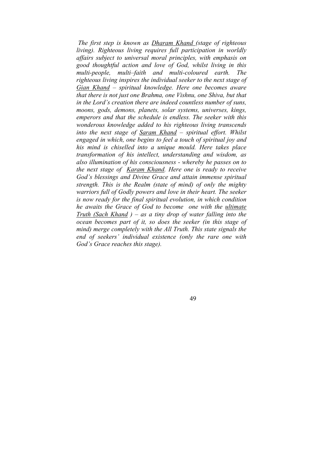*The first step is known as Dharam Khand (stage of righteous living). Righteous living requires full participation in worldly affairs subject to universal moral principles, with emphasis on good thoughtful action and love of God, whilst living in this multi-people, multi–faith and multi-coloured earth. The righteous living inspires the individual seeker to the next stage of Gian Khand – spiritual knowledge. Here one becomes aware that there is not just one Brahma, one Vishnu, one Shiva, but that in the Lord's creation there are indeed countless number of suns, moons, gods, demons, planets, solar systems, universes, kings, emperors and that the schedule is endless. The seeker with this wonderous knowledge added to his righteous living transcends into the next stage of Saram Khand – spiritual effort. Whilst engaged in which, one begins to feel a touch of spiritual joy and his mind is chiselled into a unique mould. Here takes place transformation of his intellect, understanding and wisdom, as also illumination of his consciousness - whereby he passes on to the next stage of Karam Khand. Here one is ready to receive God's blessings and Divine Grace and attain immense spiritual strength. This is the Realm (state of mind) of only the mighty warriors full of Godly powers and love in their heart. The seeker is now ready for the final spiritual evolution, in which condition he awaits the Grace of God to become one with the ultimate Truth (Sach Khand ) – as a tiny drop of water falling into the ocean becomes part of it, so does the seeker (in this stage of mind) merge completely with the All Truth. This state signals the end of seekers' individual existence (only the rare one with God's Grace reaches this stage).*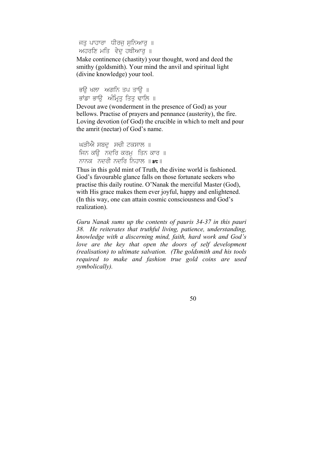ਜਤ ਪਾਹਾਰਾ ਧੀਰਜ ਸਨਿਆਰ ॥ ਅਹਰਣਿ ਮਤਿ ਵੇਦ ਹਥੀਆਰ ॥

Make continence (chastity) your thought, word and deed the smithy (goldsmith). Your mind the anvil and spiritual light (divine knowledge) your tool.

ਭੳ ਖਲਾ ਅਗਨਿ ਤਪ ਤਾੳ ॥ ਭਾਂਡਾ ਭਾੳ ਅੰਮਿਤ ਤਿਤ ਢਾਲਿ ॥

Devout awe (wonderment in the presence of God) as your bellows. Practise of prayers and pennance (austerity), the fire. Loving devotion (of God) the crucible in which to melt and pour the amrit (nectar) of God's name.

```
ਘੜੀਐ ਸਬਦ ਸੂਚੀ ਟਕਸਾਲ ॥
ਜਿਨ ਕੳਂ ਨਦਰਿ ਕਰਮਾ ਤਿਨ ਕਾਰ ॥
ਨਾਨਕ ਨਦਰੀ ਨਦਰਿ ਨਿਹਾਲ ॥\overline{\text{a}}t ॥
```
Thus in this gold mint of Truth, the divine world is fashioned. God's favourable glance falls on those fortunate seekers who practise this daily routine. O'Nanak the merciful Master (God), with His grace makes them ever joyful, happy and enlightened. (In this way, one can attain cosmic consciousness and God's realization).

*Guru Nanak sums up the contents of pauris 34-37 in this pauri 38. He reiterates that truthful living, patience, understanding, knowledge with a discerning mind, faith, hard work and God's love are the key that open the doors of self development (realisation) to ultimate salvation. (The goldsmith and his tools required to make and fashion true gold coins are used symbolically).*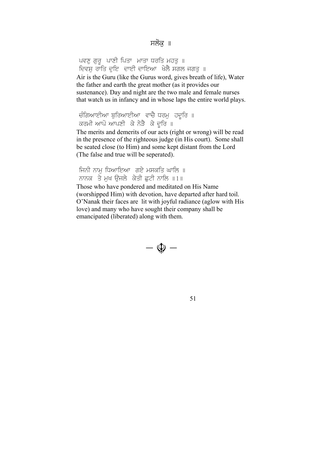ਪਵਣੂ ਗੁਰੂ ਪਾਣੀ ਪਿਤਾ ਮਾਤਾ ਧਰਤਿ ਮਹਤੂ ॥ ਦਿਵਸ ਰਾਤਿ ਦਇ ਦਾਈ ਦਾਇਆ ਖੇਲੈ ਸਗਲ ਜਗਤ ॥ Air is the Guru (like the Gurus word, gives breath of life), Water the father and earth the great mother (as it provides our sustenance). Day and night are the two male and female nurses that watch us in infancy and in whose laps the entire world plays.

ਚੰਗਿਆਈਆ ਬਰਿਆਈਆ ਵਾਚੈ ਧਰਮ ਹਦੂਰਿ ॥ ਕਰਮੀ ਆਪੋ ਆਪਣੀ ਕੇ ਨੇੜੈ ਕੇ ਦੂਰਿ ॥

The merits and demerits of our acts (right or wrong) will be read in the presence of the righteous judge (in His court). Some shall be seated close (to Him) and some kept distant from the Lord (The false and true will be seperated).

ਜਿਨੀ ਨਾਮ ਧਿਆਇਆ ਗਏ ਮਸਕਤਿ ਘਾਲਿ ॥ ਨਾਨਕ ਤੇ ਮਖ ਓਜਲੇ ਕੇਤੀ ਛਟੀ ਨਾਲਿ  $||1||$ 

Those who have pondered and meditated on His Name (worshipped Him) with devotion, have departed after hard toil. O'Nanak their faces are lit with joyful radiance (aglow with His love) and many who have sought their company shall be emancipated (liberated) along with them.

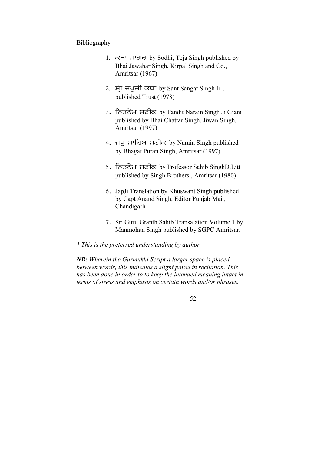#### Bibliography

- 1. ਕਥਾ ਸਾਗਰ by Sodhi, Teja Singh published by Bhai Jawahar Singh, Kirpal Singh and Co., Amritsar (1967)
- 2. ਸ੍ਰੀ ਜਪੁਜੀ ਕਥਾ by Sant Sangat Singh Ji, published Trust (1978)
- 3. ਨਿਤਨੇਮ ਸਟੀਕ by Pandit Narain Singh Ji Giani published by Bhai Chattar Singh, Jiwan Singh, Amritsar (1997)
- 4. ਜਪੁ ਸਾਹਿਬ ਸਟੀਕ by Narain Singh published by Bhagat Puran Singh, Amritsar (1997)
- 5. ਨਿਤਨੇਮ ਸਟੀਕ by Professor Sahib SinghD.Litt published by Singh Brothers , Amritsar (1980)
- 6. JapJi Translation by Khuswant Singh published by Capt Anand Singh, Editor Punjab Mail, Chandigarh
- 7. Sri Guru Granth Sahib Transalation Volume 1 by Manmohan Singh published by SGPC Amritsar.
- *\* This is the preferred understanding by author*

*NB: Wherein the Gurmukhi Script a larger space is placed between words, this indicates a slight pause in recitation. This has been done in order to to keep the intended meaning intact in terms of stress and emphasis on certain words and/or phrases.*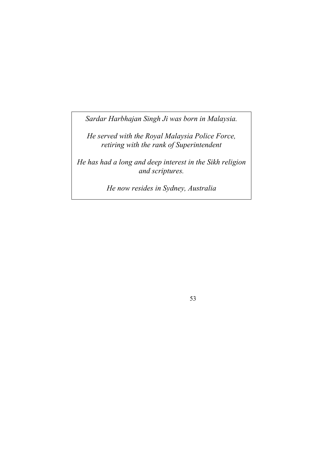*Sardar Harbhajan Singh Ji was born in Malaysia.* 

*He served with the Royal Malaysia Police Force, retiring with the rank of Superintendent* 

*He has had a long and deep interest in the Sikh religion and scriptures.* 

*He now resides in Sydney, Australia*